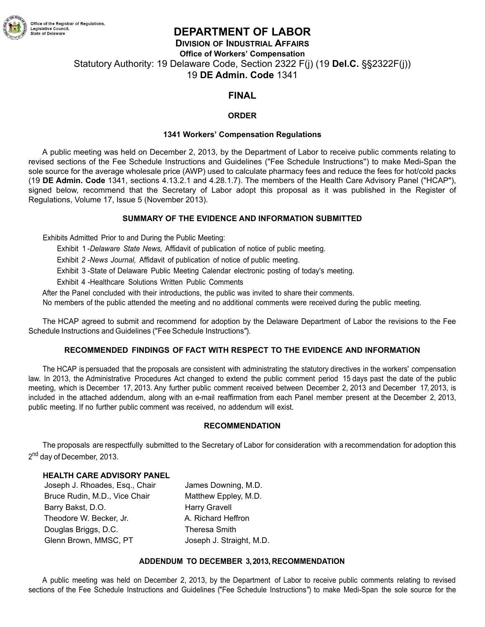

# **DEPARTMENT OF LABOR**

**DIVISION OF INDUSTRIAL AFFAIRS Office of Workers' Compensation** Statutory Authority: 19 Delaware Code, Section 2322 F(j) (19 **Del.C.** §§2322F(j)) 19 **DE Admin. Code** 1341

# **FINAL**

### **ORDER**

#### **1341 Workers' Compensation Regulations**

A public meeting was held on December 2, 2013, by the Department of Labor to receive public comments relating to revised sections of the Fee Schedule Instructions and Guidelines ("Fee Schedule Instructions'') to make Medi-Span the sole source for the average wholesale price (AWP) used to calculate pharmacy fees and reduce the fees for hot/cold packs (19 **DE Admin. Code** 1341, sections 4.13.2.1 and 4.28.1.7). The members of the Health Care Advisory Panel ("HCAP"), signed below, recommend that the Secretary of Labor adopt this proposal as it was published in the Register of Regulations, Volume 17, Issue 5 (November 2013).

### **SUMMARY OF THE EVIDENCE AND INFORMATION SUBMITTED**

Exhibits Admitted Prior to and During the Public Meeting:

Exhibit 1 -*Delaware State News,* Affidavit of publication of notice of public meeting.

Exhibit *2 -News Journal,* Affidavit of publication of notice of public meeting.

Exhibit 3 -State of Delaware Public Meeting Calendar electronic posting of today's meeting.

Exhibit 4 -Healthcare Solutions Written Public Comments

After the Panel concluded with their introductions, the public was invited to share their comments.

No members of the public attended the meeting and no additional comments were received during the public meeting.

The HCAP agreed to submit and recommend for adoption by the Delaware Department of Labor the revisions to the Fee Schedule Instructions and Guidelines ("Fee Schedule Instructions").

### **RECOMMENDED FINDINGS OF FACT WITH RESPECT TO THE EVIDENCE AND INFORMATION**

The HCAP is persuaded that the proposals are consistent with administrating the statutory directives in the workers' compensation law. In 2013, the Administrative Procedures Act changed to extend the public comment period 15 days past the date of the public meeting, which is December 17, 2013. Any further public comment received between December 2, 2013 and December 17, 2013, is included in the attached addendum, along with an e-mail reaffirmation from each Panel member present at the December 2, 2013, public meeting. If no further public comment was received, no addendum will exist.

#### **RECOMMENDATION**

The proposals are respectfully submitted to the Secretary of Labor for consideration with a recommendation for adoption this 2<sup>nd</sup> day of December, 2013.

#### **HEALTH CARE ADVISORY PANEL**

Joseph J. Rhoades, Esq., Chair James Downing, M.D. Bruce Rudin, M.D., Vice Chair Matthew Eppley, M.D. Barry Bakst, D.O. **Harry Gravell** Theodore W. Becker, Jr. **A. Richard Heffron** Douglas Briggs, D.C. Theresa Smith Glenn Brown, MMSC, PT Joseph J. Straight, M.D.

### **ADDENDUM TO DECEMBER 3, 2013, RECOMMENDATION**

A public meeting was held on December 2, 2013, by the Department of Labor to receive public comments relating to revised sections of the Fee Schedule Instructions and Guidelines ("Fee Schedule Instructions") to make Medi-Span the sole source for the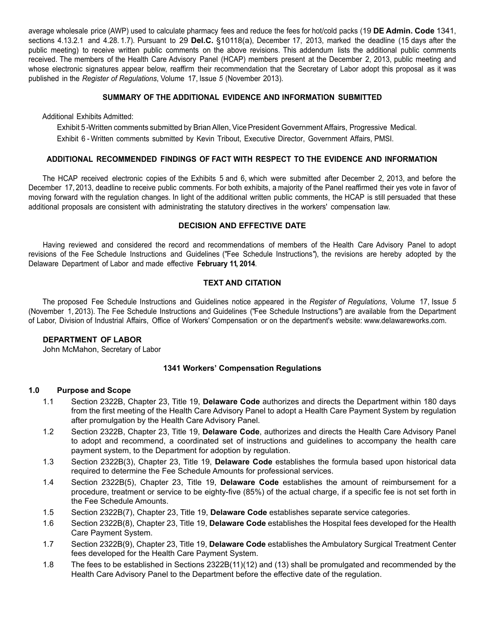average wholesale price (AWP) used to calculate pharmacy fees and reduce the fees for hot/cold packs (19 **DE Admin. Code** 1341, sections 4.13.2.1 and 4.28. 1.7). Pursuant to 29 **Del.C.** §10118(a), December 17, 2013, marked the deadline (15 days after the public meeting) to receive written public comments on the above revisions. This addendum lists the additional public comments received. The members of the Health Care Advisory Panel (HCAP) members present at the December 2, 2013, public meeting and whose electronic signatures appear below, reaffirm their recommendation that the Secretary of Labor adopt this proposal as it was published in the *Register of Regulations*, Volume 17, Issue *5* (November 2013).

#### **SUMMARY OF THE ADDITIONAL EVIDENCE AND INFORMATION SUBMITTED**

Additional Exhibits Admitted:

Exhibit 5 - Written comments submitted by Brian Allen, Vice President Government Affairs, Progressive Medical. Exhibit 6 - Written comments submitted by Kevin Tribout, Executive Director, Government Affairs, PMSI.

#### **ADDITIONAL RECOMMENDED FINDINGS OF FACT WITH RESPECT TO THE EVIDENCE AND INFORMATION**

The HCAP received electronic copies of the Exhibits 5 and 6, which were submitted after December 2, 2013, and before the December 17, 2013, deadline to receive public comments. For both exhibits, a majority of the Panel reaffirmed their yes vote in favor of moving forward with the regulation changes. In light of the additional written public comments, the HCAP is still persuaded that these additional proposals are consistent with administrating the statutory directives in the workers' compensation law.

#### **DECISION AND EFFECTIVE DATE**

Having reviewed and considered the record and recommendations of members of the Health Care Advisory Panel to adopt revisions of the Fee Schedule Instructions and Guidelines ("Fee Schedule Instructions"), the revisions are hereby adopted by the Delaware Department of Labor and made effective **February 11, 2014**.

### **TEXT AND CITATION**

The proposed Fee Schedule Instructions and Guidelines notice appeared in the *Register of Regulations*, Volume 17, Issue *5* (November 1, 2013). The Fee Schedule Instructions and Guidelines ("Fee Schedule Instructions") are available from the Department of Labor, Division [of Industrial Affairs, Office of Workers' Compensation or on the department's website:](http://www.delawareworks.com/) www.delawareworks.com.

### **DEPARTMENT OF LABOR**

John McMahon, Secretary of Labor

### **1341 Workers' Compensation Regulations**

#### **1.0 Purpose and Scope**

- 1.1 Section 2322B, Chapter 23, Title 19, **Delaware Code** authorizes and directs the Department within 180 days from the first meeting of the Health Care Advisory Panel to adopt a Health Care Payment System by regulation after promulgation by the Health Care Advisory Panel.
- 1.2 Section 2322B, Chapter 23, Title 19, **Delaware Code**, authorizes and directs the Health Care Advisory Panel to adopt and recommend, a coordinated set of instructions and guidelines to accompany the health care payment system, to the Department for adoption by regulation.
- 1.3 Section 2322B(3), Chapter 23, Title 19, **Delaware Code** establishes the formula based upon historical data required to determine the Fee Schedule Amounts for professional services.
- 1.4 Section 2322B(5), Chapter 23, Title 19, **Delaware Code** establishes the amount of reimbursement for a procedure, treatment or service to be eighty-five (85%) of the actual charge, if a specific fee is not set forth in the Fee Schedule Amounts.
- 1.5 Section 2322B(7), Chapter 23, Title 19, **Delaware Code** establishes separate service categories.
- 1.6 Section 2322B(8), Chapter 23, Title 19, **Delaware Code** establishes the Hospital fees developed for the Health Care Payment System.
- 1.7 Section 2322B(9), Chapter 23, Title 19, **Delaware Code** establishes the Ambulatory Surgical Treatment Center fees developed for the Health Care Payment System.
- 1.8 The fees to be established in Sections 2322B(11)(12) and (13) shall be promulgated and recommended by the Health Care Advisory Panel to the Department before the effective date of the regulation.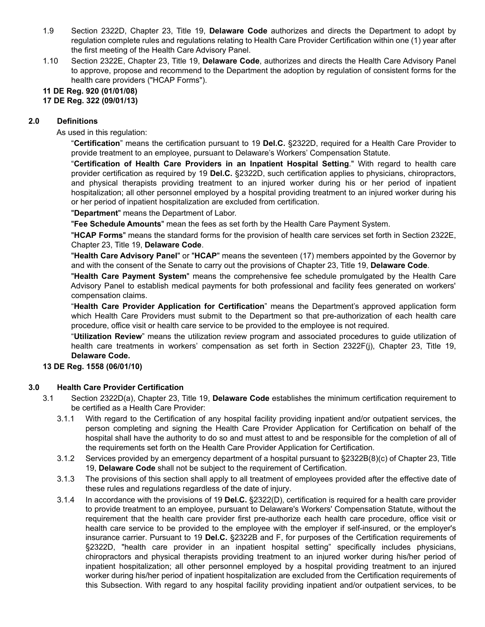- 1.9 Section 2322D, Chapter 23, Title 19, **Delaware Code** authorizes and directs the Department to adopt by regulation complete rules and regulations relating to Health Care Provider Certification within one (1) year after the first meeting of the Health Care Advisory Panel.
- 1.10 Section 2322E, Chapter 23, Title 19, **Delaware Code**, authorizes and directs the Health Care Advisory Panel to approve, propose and recommend to the Department the adoption by regulation of consistent forms for the health care providers ("HCAP Forms").

# **11 DE Reg. 920 (01/01/08)**

#### **17 DE Reg. 322 (09/01/13)**

### **2.0 Definitions**

As used in this regulation:

"**Certification**" means the certification pursuant to 19 **Del.C.** §2322D, required for a Health Care Provider to provide treatment to an employee, pursuant to Delaware's Workers' Compensation Statute.

"**Certification of Health Care Providers in an Inpatient Hospital Setting**." With regard to health care provider certification as required by 19 **Del.C.** §2322D, such certification applies to physicians, chiropractors, and physical therapists providing treatment to an injured worker during his or her period of inpatient hospitalization; all other personnel employed by a hospital providing treatment to an injured worker during his or her period of inpatient hospitalization are excluded from certification.

"**Department**" means the Department of Labor.

"**Fee Schedule Amounts**" mean the fees as set forth by the Health Care Payment System.

"**HCAP Forms**" means the standard forms for the provision of health care services set forth in Section 2322E, Chapter 23, Title 19, **Delaware Code**.

"**Health Care Advisory Panel**" or "**HCAP**" means the seventeen (17) members appointed by the Governor by and with the consent of the Senate to carry out the provisions of Chapter 23, Title 19, **Delaware Code**.

"**Health Care Payment System**" means the comprehensive fee schedule promulgated by the Health Care Advisory Panel to establish medical payments for both professional and facility fees generated on workers' compensation claims.

"**Health Care Provider Application for Certification**" means the Department's approved application form which Health Care Providers must submit to the Department so that pre-authorization of each health care procedure, office visit or health care service to be provided to the employee is not required.

"**Utilization Review**" means the utilization review program and associated procedures to guide utilization of health care treatments in workers' compensation as set forth in Section 2322F(j), Chapter 23, Title 19, **Delaware Code.**

### **13 DE Reg. 1558 (06/01/10)**

#### **3.0 Health Care Provider Certification**

- 3.1 Section 2322D(a), Chapter 23, Title 19, **Delaware Code** establishes the minimum certification requirement to be certified as a Health Care Provider:
	- 3.1.1 With regard to the Certification of any hospital facility providing inpatient and/or outpatient services, the person completing and signing the Health Care Provider Application for Certification on behalf of the hospital shall have the authority to do so and must attest to and be responsible for the completion of all of the requirements set forth on the Health Care Provider Application for Certification.
	- 3.1.2 Services provided by an emergency department of a hospital pursuant to §2322B(8)(c) of Chapter 23, Title 19, **Delaware Code** shall not be subject to the requirement of Certification.
	- 3.1.3 The provisions of this section shall apply to all treatment of employees provided after the effective date of these rules and regulations regardless of the date of injury.
	- 3.1.4 In accordance with the provisions of 19 **Del.C.** §2322(D), certification is required for a health care provider to provide treatment to an employee, pursuant to Delaware's Workers' Compensation Statute, without the requirement that the health care provider first pre-authorize each health care procedure, office visit or health care service to be provided to the employee with the employer if self-insured, or the employer's insurance carrier. Pursuant to 19 **Del.C.** §2322B and F, for purposes of the Certification requirements of §2322D, "health care provider in an inpatient hospital setting" specifically includes physicians, chiropractors and physical therapists providing treatment to an injured worker during his/her period of inpatient hospitalization; all other personnel employed by a hospital providing treatment to an injured worker during his/her period of inpatient hospitalization are excluded from the Certification requirements of this Subsection. With regard to any hospital facility providing inpatient and/or outpatient services, to be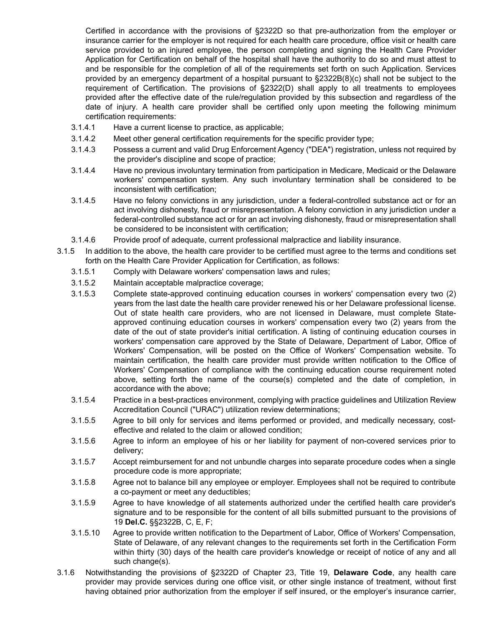Certified in accordance with the provisions of §2322D so that pre-authorization from the employer or insurance carrier for the employer is not required for each health care procedure, office visit or health care service provided to an injured employee, the person completing and signing the Health Care Provider Application for Certification on behalf of the hospital shall have the authority to do so and must attest to and be responsible for the completion of all of the requirements set forth on such Application. Services provided by an emergency department of a hospital pursuant to §2322B(8)(c) shall not be subject to the requirement of Certification. The provisions of §2322(D) shall apply to all treatments to employees provided after the effective date of the rule/regulation provided by this subsection and regardless of the date of injury. A health care provider shall be certified only upon meeting the following minimum certification requirements:

- 3.1.4.1 Have a current license to practice, as applicable;
- 3.1.4.2 Meet other general certification requirements for the specific provider type;
- 3.1.4.3 Possess a current and valid Drug Enforcement Agency ("DEA") registration, unless not required by the provider's discipline and scope of practice;
- 3.1.4.4 Have no previous involuntary termination from participation in Medicare, Medicaid or the Delaware workers' compensation system. Any such involuntary termination shall be considered to be inconsistent with certification;
- 3.1.4.5 Have no felony convictions in any jurisdiction, under a federal-controlled substance act or for an act involving dishonesty, fraud or misrepresentation. A felony conviction in any jurisdiction under a federal-controlled substance act or for an act involving dishonesty, fraud or misrepresentation shall be considered to be inconsistent with certification;
- 3.1.4.6 Provide proof of adequate, current professional malpractice and liability insurance.
- 3.1.5 In addition to the above, the health care provider to be certified must agree to the terms and conditions set forth on the Health Care Provider Application for Certification, as follows:
	- 3.1.5.1 Comply with Delaware workers' compensation laws and rules;
	- 3.1.5.2 Maintain acceptable malpractice coverage;
	- 3.1.5.3 Complete state-approved continuing education courses in workers' compensation every two (2) years from the last date the health care provider renewed his or her Delaware professional license. Out of state health care providers, who are not licensed in Delaware, must complete Stateapproved continuing education courses in workers' compensation every two (2) years from the date of the out of state provider's initial certification. A listing of continuing education courses in workers' compensation care approved by the State of Delaware, Department of Labor, Office of Workers' Compensation, will be posted on the Office of Workers' Compensation website. To maintain certification, the health care provider must provide written notification to the Office of Workers' Compensation of compliance with the continuing education course requirement noted above, setting forth the name of the course(s) completed and the date of completion, in accordance with the above;
	- 3.1.5.4 Practice in a best-practices environment, complying with practice guidelines and Utilization Review Accreditation Council ("URAC") utilization review determinations;
	- 3.1.5.5 Agree to bill only for services and items performed or provided, and medically necessary, costeffective and related to the claim or allowed condition;
	- 3.1.5.6 Agree to inform an employee of his or her liability for payment of non-covered services prior to delivery;
	- 3.1.5.7 Accept reimbursement for and not unbundle charges into separate procedure codes when a single procedure code is more appropriate;
	- 3.1.5.8 Agree not to balance bill any employee or employer. Employees shall not be required to contribute a co-payment or meet any deductibles;
	- 3.1.5.9 Agree to have knowledge of all statements authorized under the certified health care provider's signature and to be responsible for the content of all bills submitted pursuant to the provisions of 19 **Del.C.** §§2322B, C, E, F;
	- 3.1.5.10 Agree to provide written notification to the Department of Labor, Office of Workers' Compensation, State of Delaware, of any relevant changes to the requirements set forth in the Certification Form within thirty (30) days of the health care provider's knowledge or receipt of notice of any and all such change(s).
- 3.1.6 Notwithstanding the provisions of §2322D of Chapter 23, Title 19, **Delaware Code**, any health care provider may provide services during one office visit, or other single instance of treatment, without first having obtained prior authorization from the employer if self insured, or the employer's insurance carrier,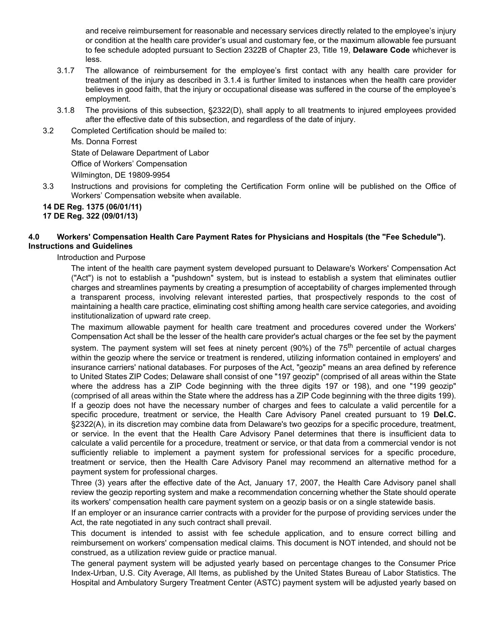and receive reimbursement for reasonable and necessary services directly related to the employee's injury or condition at the health care provider's usual and customary fee, or the maximum allowable fee pursuant to fee schedule adopted pursuant to Section 2322B of Chapter 23, Title 19, **Delaware Code** whichever is less.

- 3.1.7 The allowance of reimbursement for the employee's first contact with any health care provider for treatment of the injury as described in 3.1.4 is further limited to instances when the health care provider believes in good faith, that the injury or occupational disease was suffered in the course of the employee's employment.
- 3.1.8 The provisions of this subsection, §2322(D), shall apply to all treatments to injured employees provided after the effective date of this subsection, and regardless of the date of injury.
- 3.2 Completed Certification should be mailed to:

Ms. Donna Forrest State of Delaware Department of Labor Office of Workers' Compensation Wilmington, DE 19809-9954

3.3 Instructions and provisions for completing the Certification Form online will be published on the Office of Workers' Compensation website when available.

**14 DE Reg. 1375 (06/01/11) 17 DE Reg. 322 (09/01/13)**

### **4.0 Workers' Compensation Health Care Payment Rates for Physicians and Hospitals (the "Fee Schedule"). Instructions and Guidelines**

Introduction and Purpose

The intent of the health care payment system developed pursuant to Delaware's Workers' Compensation Act ("Act") is not to establish a "pushdown" system, but is instead to establish a system that eliminates outlier charges and streamlines payments by creating a presumption of acceptability of charges implemented through a transparent process, involving relevant interested parties, that prospectively responds to the cost of maintaining a health care practice, eliminating cost shifting among health care service categories, and avoiding institutionalization of upward rate creep.

The maximum allowable payment for health care treatment and procedures covered under the Workers' Compensation Act shall be the lesser of the health care provider's actual charges or the fee set by the payment system. The payment system will set fees at ninety percent (90%) of the 75<sup>th</sup> percentile of actual charges within the geozip where the service or treatment is rendered, utilizing information contained in employers' and insurance carriers' national databases. For purposes of the Act, "geozip" means an area defined by reference to United States ZIP Codes; Delaware shall consist of one "197 geozip" (comprised of all areas within the State where the address has a ZIP Code beginning with the three digits 197 or 198), and one "199 geozip" (comprised of all areas within the State where the address has a ZIP Code beginning with the three digits 199). If a geozip does not have the necessary number of charges and fees to calculate a valid percentile for a specific procedure, treatment or service, the Health Care Advisory Panel created pursuant to 19 **Del.C.** §2322(A), in its discretion may combine data from Delaware's two geozips for a specific procedure, treatment, or service. In the event that the Health Care Advisory Panel determines that there is insufficient data to calculate a valid percentile for a procedure, treatment or service, or that data from a commercial vendor is not sufficiently reliable to implement a payment system for professional services for a specific procedure, treatment or service, then the Health Care Advisory Panel may recommend an alternative method for a payment system for professional charges.

Three (3) years after the effective date of the Act, January 17, 2007, the Health Care Advisory panel shall review the geozip reporting system and make a recommendation concerning whether the State should operate its workers' compensation health care payment system on a geozip basis or on a single statewide basis.

If an employer or an insurance carrier contracts with a provider for the purpose of providing services under the Act, the rate negotiated in any such contract shall prevail.

This document is intended to assist with fee schedule application, and to ensure correct billing and reimbursement on workers' compensation medical claims. This document is NOT intended, and should not be construed, as a utilization review guide or practice manual.

The general payment system will be adjusted yearly based on percentage changes to the Consumer Price Index-Urban, U.S. City Average, All Items, as published by the United States Bureau of Labor Statistics. The Hospital and Ambulatory Surgery Treatment Center (ASTC) payment system will be adjusted yearly based on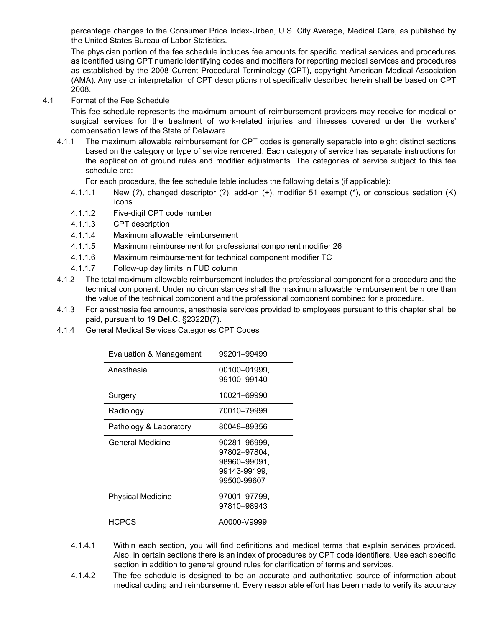percentage changes to the Consumer Price Index-Urban, U.S. City Average, Medical Care, as published by the United States Bureau of Labor Statistics.

The physician portion of the fee schedule includes fee amounts for specific medical services and procedures as identified using CPT numeric identifying codes and modifiers for reporting medical services and procedures as established by the 2008 Current Procedural Terminology (CPT), copyright American Medical Association (AMA). Any use or interpretation of CPT descriptions not specifically described herein shall be based on CPT 2008.

4.1 Format of the Fee Schedule

This fee schedule represents the maximum amount of reimbursement providers may receive for medical or surgical services for the treatment of work-related injuries and illnesses covered under the workers' compensation laws of the State of Delaware.

4.1.1 The maximum allowable reimbursement for CPT codes is generally separable into eight distinct sections based on the category or type of service rendered. Each category of service has separate instructions for the application of ground rules and modifier adjustments. The categories of service subject to this fee schedule are:

For each procedure, the fee schedule table includes the following details (if applicable):

- 4.1.1.1 New (*?*), changed descriptor (?), add-on (+), modifier 51 exempt (\*), or conscious sedation (K) icons
- 4.1.1.2 Five-digit CPT code number
- 4.1.1.3 CPT description
- 4.1.1.4 Maximum allowable reimbursement
- 4.1.1.5 Maximum reimbursement for professional component modifier 26
- 4.1.1.6 Maximum reimbursement for technical component modifier TC
- 4.1.1.7 Follow-up day limits in FUD column
- 4.1.2 The total maximum allowable reimbursement includes the professional component for a procedure and the technical component. Under no circumstances shall the maximum allowable reimbursement be more than the value of the technical component and the professional component combined for a procedure.
- 4.1.3 For anesthesia fee amounts, anesthesia services provided to employees pursuant to this chapter shall be paid, pursuant to 19 **Del.C.** §2322B(7).
- 4.1.4 General Medical Services Categories CPT Codes

| Evaluation & Management  | 99201-99499                                                                 |
|--------------------------|-----------------------------------------------------------------------------|
| Anesthesia               | 00100-01999.<br>99100-99140                                                 |
| Surgery                  | 10021-69990                                                                 |
| Radiology                | 70010-79999                                                                 |
| Pathology & Laboratory   | 80048-89356                                                                 |
| General Medicine         | 90281–96999.<br>97802-97804,<br>98960–99091.<br>99143-99199,<br>99500-99607 |
| <b>Physical Medicine</b> | 97001–97799.<br>97810-98943                                                 |
| <b>HCPCS</b>             | A0000-V9999                                                                 |

- 4.1.4.1 Within each section, you will find definitions and medical terms that explain services provided. Also, in certain sections there is an index of procedures by CPT code identifiers. Use each specific section in addition to general ground rules for clarification of terms and services.
- 4.1.4.2 The fee schedule is designed to be an accurate and authoritative source of information about medical coding and reimbursement. Every reasonable effort has been made to verify its accuracy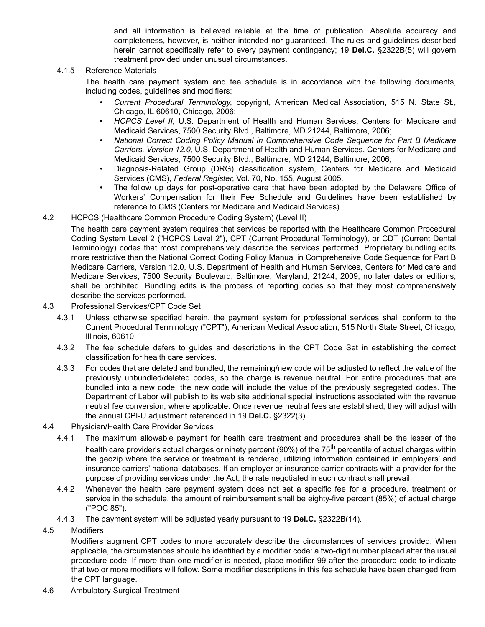and all information is believed reliable at the time of publication. Absolute accuracy and completeness, however, is neither intended nor guaranteed. The rules and guidelines described herein cannot specifically refer to every payment contingency; 19 **Del.C.** §2322B(5) will govern treatment provided under unusual circumstances.

#### 4.1.5 Reference Materials

The health care payment system and fee schedule is in accordance with the following documents, including codes, guidelines and modifiers:

- *Current Procedural Terminology*, copyright, American Medical Association, 515 N. State St., Chicago, IL 60610, Chicago, 2006;
- *HCPCS Level II*, U.S. Department of Health and Human Services, Centers for Medicare and Medicaid Services, 7500 Security Blvd., Baltimore, MD 21244, Baltimore, 2006;
- *National Correct Coding Policy Manual in Comprehensive Code Sequence for Part B Medicare Carriers, Version 12.0,* U.S. Department of Health and Human Services, Centers for Medicare and Medicaid Services, 7500 Security Blvd., Baltimore, MD 21244, Baltimore, 2006;
- Diagnosis-Related Group (DRG) classification system, Centers for Medicare and Medicaid Services (CMS), *Federal Register*, Vol. 70, No. 155, August 2005.
- The follow up days for post-operative care that have been adopted by the Delaware Office of Workers' Compensation for their Fee Schedule and Guidelines have been established by reference to CMS (Centers for Medicare and Medicaid Services).
- 4.2 HCPCS (Healthcare Common Procedure Coding System) (Level II)

The health care payment system requires that services be reported with the Healthcare Common Procedural Coding System Level 2 ("HCPCS Level 2"), CPT (Current Procedural Terminology), or CDT (Current Dental Terminology) codes that most comprehensively describe the services performed. Proprietary bundling edits more restrictive than the National Correct Coding Policy Manual in Comprehensive Code Sequence for Part B Medicare Carriers, Version 12.0, U.S. Department of Health and Human Services, Centers for Medicare and Medicare Services, 7500 Security Boulevard, Baltimore, Maryland, 21244, 2009, no later dates or editions, shall be prohibited. Bundling edits is the process of reporting codes so that they most comprehensively describe the services performed.

- 4.3 Professional Services/CPT Code Set
	- 4.3.1 Unless otherwise specified herein, the payment system for professional services shall conform to the Current Procedural Terminology ("CPT"), American Medical Association, 515 North State Street, Chicago, Illinois, 60610.
	- 4.3.2 The fee schedule defers to guides and descriptions in the CPT Code Set in establishing the correct classification for health care services.
	- 4.3.3 For codes that are deleted and bundled, the remaining/new code will be adjusted to reflect the value of the previously unbundled/deleted codes, so the charge is revenue neutral. For entire procedures that are bundled into a new code, the new code will include the value of the previously segregated codes. The Department of Labor will publish to its web site additional special instructions associated with the revenue neutral fee conversion, where applicable. Once revenue neutral fees are established, they will adjust with the annual CPI-U adjustment referenced in 19 **Del.C.** §2322(3).
- 4.4 Physician/Health Care Provider Services
	- 4.4.1 The maximum allowable payment for health care treatment and procedures shall be the lesser of the health care provider's actual charges or ninety percent (90%) of the 75<sup>th</sup> percentile of actual charges within the geozip where the service or treatment is rendered, utilizing information contained in employers' and insurance carriers' national databases. If an employer or insurance carrier contracts with a provider for the purpose of providing services under the Act, the rate negotiated in such contract shall prevail.
	- 4.4.2 Whenever the health care payment system does not set a specific fee for a procedure, treatment or service in the schedule, the amount of reimbursement shall be eighty-five percent (85%) of actual charge ("POC 85").
	- 4.4.3 The payment system will be adjusted yearly pursuant to 19 **Del.C.** §2322B(14).
- 4.5 Modifiers

Modifiers augment CPT codes to more accurately describe the circumstances of services provided. When applicable, the circumstances should be identified by a modifier code: a two-digit number placed after the usual procedure code. If more than one modifier is needed, place modifier 99 after the procedure code to indicate that two or more modifiers will follow. Some modifier descriptions in this fee schedule have been changed from the CPT language.

4.6 Ambulatory Surgical Treatment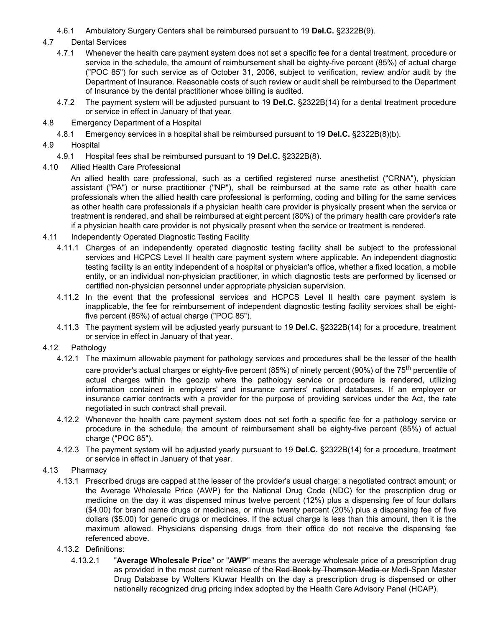4.6.1 Ambulatory Surgery Centers shall be reimbursed pursuant to 19 **Del.C.** §2322B(9).

# 4.7 Dental Services

- 4.7.1 Whenever the health care payment system does not set a specific fee for a dental treatment, procedure or service in the schedule, the amount of reimbursement shall be eighty-five percent (85%) of actual charge ("POC 85") for such service as of October 31, 2006, subject to verification, review and/or audit by the Department of Insurance. Reasonable costs of such review or audit shall be reimbursed to the Department of Insurance by the dental practitioner whose billing is audited.
- 4.7.2 The payment system will be adjusted pursuant to 19 **Del.C.** §2322B(14) for a dental treatment procedure or service in effect in January of that year.
- 4.8 Emergency Department of a Hospital
	- 4.8.1 Emergency services in a hospital shall be reimbursed pursuant to 19 **Del.C.** §2322B(8)(b).
- 4.9 Hospital
	- 4.9.1 Hospital fees shall be reimbursed pursuant to 19 **Del.C.** §2322B(8).
- 4.10 Allied Health Care Professional

An allied health care professional, such as a certified registered nurse anesthetist ("CRNA"), physician assistant ("PA") or nurse practitioner ("NP"), shall be reimbursed at the same rate as other health care professionals when the allied health care professional is performing, coding and billing for the same services as other health care professionals if a physician health care provider is physically present when the service or treatment is rendered, and shall be reimbursed at eight percent (80%) of the primary health care provider's rate if a physician health care provider is not physically present when the service or treatment is rendered.

- 4.11 Independently Operated Diagnostic Testing Facility
	- 4.11.1 Charges of an independently operated diagnostic testing facility shall be subject to the professional services and HCPCS Level II health care payment system where applicable. An independent diagnostic testing facility is an entity independent of a hospital or physician's office, whether a fixed location, a mobile entity, or an individual non-physician practitioner, in which diagnostic tests are performed by licensed or certified non-physician personnel under appropriate physician supervision.
	- 4.11.2 In the event that the professional services and HCPCS Level II health care payment system is inapplicable, the fee for reimbursement of independent diagnostic testing facility services shall be eightfive percent (85%) of actual charge ("POC 85").
	- 4.11.3 The payment system will be adjusted yearly pursuant to 19 **Del.C.** §2322B(14) for a procedure, treatment or service in effect in January of that year.
- 4.12 Pathology
	- 4.12.1 The maximum allowable payment for pathology services and procedures shall be the lesser of the health care provider's actual charges or eighty-five percent (85%) of ninety percent (90%) of the 75<sup>th</sup> percentile of actual charges within the geozip where the pathology service or procedure is rendered, utilizing information contained in employers' and insurance carriers' national databases. If an employer or insurance carrier contracts with a provider for the purpose of providing services under the Act, the rate negotiated in such contract shall prevail.
	- 4.12.2 Whenever the health care payment system does not set forth a specific fee for a pathology service or procedure in the schedule, the amount of reimbursement shall be eighty-five percent (85%) of actual charge ("POC 85").
	- 4.12.3 The payment system will be adjusted yearly pursuant to 19 **Del.C.** §2322B(14) for a procedure, treatment or service in effect in January of that year.
- 4.13 Pharmacy
	- 4.13.1 Prescribed drugs are capped at the lesser of the provider's usual charge; a negotiated contract amount; or the Average Wholesale Price (AWP) for the National Drug Code (NDC) for the prescription drug or medicine on the day it was dispensed minus twelve percent (12%) plus a dispensing fee of four dollars (\$4.00) for brand name drugs or medicines, or minus twenty percent (20%) plus a dispensing fee of five dollars (\$5.00) for generic drugs or medicines. If the actual charge is less than this amount, then it is the maximum allowed. Physicians dispensing drugs from their office do not receive the dispensing fee referenced above.
	- 4.13.2 Definitions:
		- 4.13.2.1 "**Average Wholesale Price**" or "**AWP**" means the average wholesale price of a prescription drug as provided in the most current release of the Red Book by Thomson Media or Medi-Span Master Drug Database by Wolters Kluwar Health on the day a prescription drug is dispensed or other nationally recognized drug pricing index adopted by the Health Care Advisory Panel (HCAP).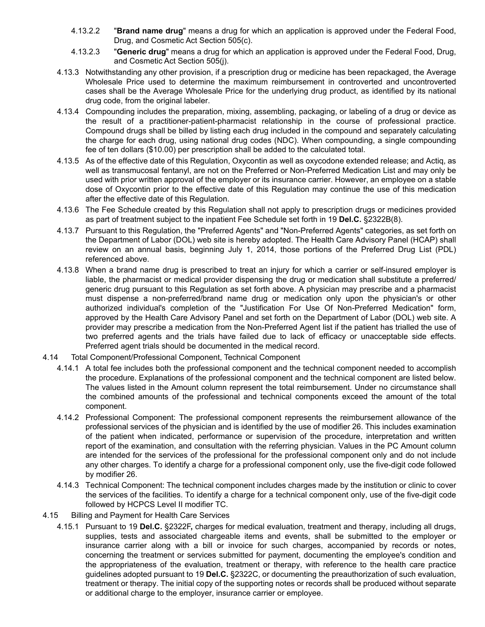- 4.13.2.2 "**Brand name drug**" means a drug for which an application is approved under the Federal Food, Drug, and Cosmetic Act Section 505(c).
- 4.13.2.3 "**Generic drug**" means a drug for which an application is approved under the Federal Food, Drug, and Cosmetic Act Section 505(j).
- 4.13.3 Notwithstanding any other provision, if a prescription drug or medicine has been repackaged, the Average Wholesale Price used to determine the maximum reimbursement in controverted and uncontroverted cases shall be the Average Wholesale Price for the underlying drug product, as identified by its national drug code, from the original labeler.
- 4.13.4 Compounding includes the preparation, mixing, assembling, packaging, or labeling of a drug or device as the result of a practitioner-patient-pharmacist relationship in the course of professional practice. Compound drugs shall be billed by listing each drug included in the compound and separately calculating the charge for each drug, using national drug codes (NDC). When compounding, a single compounding fee of ten dollars (\$10.00) per prescription shall be added to the calculated total.
- 4.13.5 As of the effective date of this Regulation, Oxycontin as well as oxycodone extended release; and Actiq, as well as transmucosal fentanyl, are not on the Preferred or Non-Preferred Medication List and may only be used with prior written approval of the employer or its insurance carrier. However, an employee on a stable dose of Oxycontin prior to the effective date of this Regulation may continue the use of this medication after the effective date of this Regulation.
- 4.13.6 The Fee Schedule created by this Regulation shall not apply to prescription drugs or medicines provided as part of treatment subject to the inpatient Fee Schedule set forth in 19 **Del.C.** §2322B(8).
- 4.13.7 Pursuant to this Regulation, the "Preferred Agents" and "Non-Preferred Agents" categories, as set forth on the Department of Labor (DOL) web site is hereby adopted. The Health Care Advisory Panel (HCAP) shall review on an annual basis, beginning July 1, 2014, those portions of the Preferred Drug List (PDL) referenced above.
- 4.13.8 When a brand name drug is prescribed to treat an injury for which a carrier or self-insured employer is liable, the pharmacist or medical provider dispensing the drug or medication shall substitute a preferred/ generic drug pursuant to this Regulation as set forth above. A physician may prescribe and a pharmacist must dispense a non-preferred/brand name drug or medication only upon the physician's or other authorized individual's completion of the "Justification For Use Of Non-Preferred Medication" form, approved by the Health Care Advisory Panel and set forth on the Department of Labor (DOL) web site. A provider may prescribe a medication from the Non-Preferred Agent list if the patient has trialled the use of two preferred agents and the trials have failed due to lack of efficacy or unacceptable side effects. Preferred agent trials should be documented in the medical record.
- 4.14 Total Component/Professional Component, Technical Component
	- 4.14.1 A total fee includes both the professional component and the technical component needed to accomplish the procedure. Explanations of the professional component and the technical component are listed below. The values listed in the Amount column represent the total reimbursement. Under no circumstance shall the combined amounts of the professional and technical components exceed the amount of the total component.
	- 4.14.2 Professional Component: The professional component represents the reimbursement allowance of the professional services of the physician and is identified by the use of modifier 26. This includes examination of the patient when indicated, performance or supervision of the procedure, interpretation and written report of the examination, and consultation with the referring physician. Values in the PC Amount column are intended for the services of the professional for the professional component only and do not include any other charges. To identify a charge for a professional component only, use the five-digit code followed by modifier 26.
	- 4.14.3 Technical Component: The technical component includes charges made by the institution or clinic to cover the services of the facilities. To identify a charge for a technical component only, use of the five-digit code followed by HCPCS Level II modifier TC.
- 4.15 Billing and Payment for Health Care Services
	- 4.15.1 Pursuant to 19 **Del.C.** §2322F**,** charges for medical evaluation, treatment and therapy, including all drugs, supplies, tests and associated chargeable items and events, shall be submitted to the employer or insurance carrier along with a bill or invoice for such charges, accompanied by records or notes, concerning the treatment or services submitted for payment, documenting the employee's condition and the appropriateness of the evaluation, treatment or therapy, with reference to the health care practice guidelines adopted pursuant to 19 **Del.C.** §2322C, or documenting the preauthorization of such evaluation, treatment or therapy. The initial copy of the supporting notes or records shall be produced without separate or additional charge to the employer, insurance carrier or employee.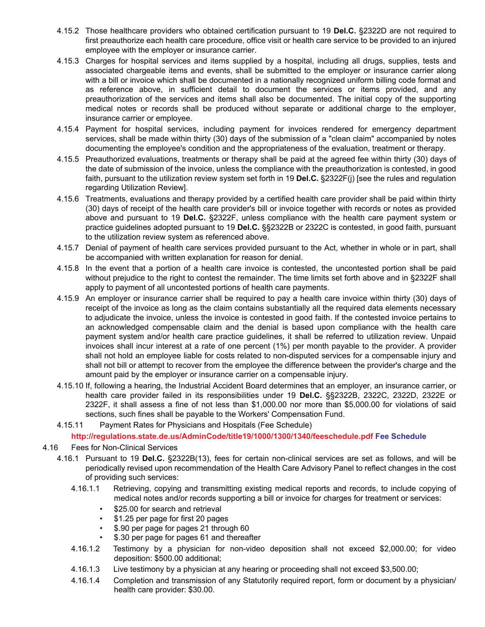- 4.15.2 Those healthcare providers who obtained certification pursuant to 19 **Del.C.** §2322D are not required to first preauthorize each health care procedure, office visit or health care service to be provided to an injured employee with the employer or insurance carrier.
- 4.15.3 Charges for hospital services and items supplied by a hospital, including all drugs, supplies, tests and associated chargeable items and events, shall be submitted to the employer or insurance carrier along with a bill or invoice which shall be documented in a nationally recognized uniform billing code format and as reference above, in sufficient detail to document the services or items provided, and any preauthorization of the services and items shall also be documented. The initial copy of the supporting medical notes or records shall be produced without separate or additional charge to the employer, insurance carrier or employee.
- 4.15.4 Payment for hospital services, including payment for invoices rendered for emergency department services, shall be made within thirty (30) days of the submission of a "clean claim" accompanied by notes documenting the employee's condition and the appropriateness of the evaluation, treatment or therapy.
- 4.15.5 Preauthorized evaluations, treatments or therapy shall be paid at the agreed fee within thirty (30) days of the date of submission of the invoice, unless the compliance with the preauthorization is contested, in good faith, pursuant to the utilization review system set forth in 19 **Del.C.** §2322F(j) [see the rules and regulation regarding Utilization Review].
- 4.15.6 Treatments, evaluations and therapy provided by a certified health care provider shall be paid within thirty (30) days of receipt of the health care provider's bill or invoice together with records or notes as provided above and pursuant to 19 **Del.C.** §2322F, unless compliance with the health care payment system or practice guidelines adopted pursuant to 19 **Del.C.** §§2322B or 2322C is contested, in good faith, pursuant to the utilization review system as referenced above.
- 4.15.7 Denial of payment of health care services provided pursuant to the Act, whether in whole or in part, shall be accompanied with written explanation for reason for denial.
- 4.15.8 In the event that a portion of a health care invoice is contested, the uncontested portion shall be paid without prejudice to the right to contest the remainder. The time limits set forth above and in §2322F shall apply to payment of all uncontested portions of health care payments.
- 4.15.9 An employer or insurance carrier shall be required to pay a health care invoice within thirty (30) days of receipt of the invoice as long as the claim contains substantially all the required data elements necessary to adjudicate the invoice, unless the invoice is contested in good faith. If the contested invoice pertains to an acknowledged compensable claim and the denial is based upon compliance with the health care payment system and/or health care practice guidelines, it shall be referred to utilization review. Unpaid invoices shall incur interest at a rate of one percent (1%) per month payable to the provider. A provider shall not hold an employee liable for costs related to non-disputed services for a compensable injury and shall not bill or attempt to recover from the employee the difference between the provider's charge and the amount paid by the employer or insurance carrier on a compensable injury.
- 4.15.10 If, following a hearing, the Industrial Accident Board determines that an employer, an insurance carrier, or health care provider failed in its responsibilities under 19 **Del.C.** §§2322B, 2322C, 2322D, 2322E or 2322F, it shall assess a fine of not less than \$1,000.00 nor more than \$5,000.00 for violations of said sections, such fines shall be payable to the Workers' Compensation Fund.
- 4.15.11 Payment Rates for Physicians and Hospitals (Fee Schedule)

**http://regulations.state.de.us/AdminCode/title19/1000/1300/1340/feeschedule.pdf Fee Schedule**

- 4.16 Fees for Non-Clinical Services
	- 4.16.1 Pursuant to 19 **Del.C.** §2322B(13), fees for certain non-clinical services are set as follows, and will be periodically revised upon recommendation of the Health Care Advisory Panel to reflect changes in the cost of providing such services:
		- 4.16.1.1 Retrieving, copying and transmitting existing medical reports and records, to include copying of medical notes and/or records supporting a bill or invoice for charges for treatment or services:
			- \$25.00 for search and retrieval
			- \$1.25 per page for first 20 pages
			- \$.90 per page for pages 21 through 60
			- \$.30 per page for pages 61 and thereafter
		- 4.16.1.2 Testimony by a physician for non-video deposition shall not exceed \$2,000.00; for video deposition: \$500.00 additional;
		- 4.16.1.3 Live testimony by a physician at any hearing or proceeding shall not exceed \$3,500.00;
		- 4.16.1.4 Completion and transmission of any Statutorily required report, form or document by a physician/ health care provider: \$30.00.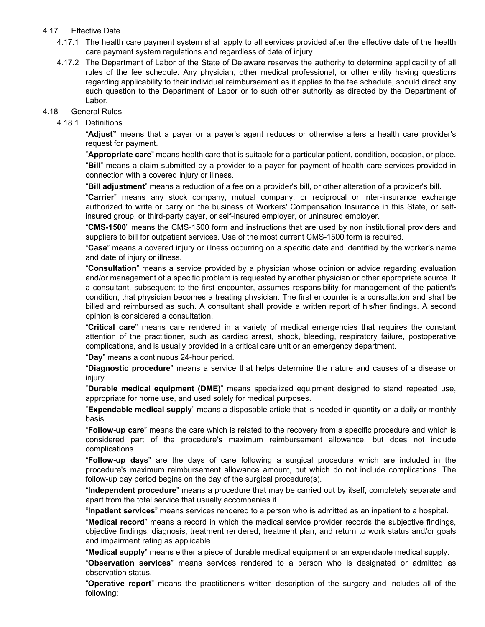### 4.17 Effective Date

- 4.17.1 The health care payment system shall apply to all services provided after the effective date of the health care payment system regulations and regardless of date of injury.
- 4.17.2 The Department of Labor of the State of Delaware reserves the authority to determine applicability of all rules of the fee schedule. Any physician, other medical professional, or other entity having questions regarding applicability to their individual reimbursement as it applies to the fee schedule, should direct any such question to the Department of Labor or to such other authority as directed by the Department of Labor.

#### 4.18 General Rules

### 4.18.1 Definitions

"**Adjust"** means that a payer or a payer's agent reduces or otherwise alters a health care provider's request for payment.

"**Appropriate care**" means health care that is suitable for a particular patient, condition, occasion, or place. "**Bill**" means a claim submitted by a provider to a payer for payment of health care services provided in connection with a covered injury or illness.

"**Bill adjustment**" means a reduction of a fee on a provider's bill, or other alteration of a provider's bill.

"**Carrier**" means any stock company, mutual company, or reciprocal or inter-insurance exchange authorized to write or carry on the business of Workers' Compensation Insurance in this State, or selfinsured group, or third-party payer, or self-insured employer, or uninsured employer.

"**CMS-1500**" means the CMS-1500 form and instructions that are used by non institutional providers and suppliers to bill for outpatient services. Use of the most current CMS-1500 form is required.

"**Case**" means a covered injury or illness occurring on a specific date and identified by the worker's name and date of injury or illness.

"**Consultation**" means a service provided by a physician whose opinion or advice regarding evaluation and/or management of a specific problem is requested by another physician or other appropriate source. If a consultant, subsequent to the first encounter, assumes responsibility for management of the patient's condition, that physician becomes a treating physician. The first encounter is a consultation and shall be billed and reimbursed as such. A consultant shall provide a written report of his/her findings. A second opinion is considered a consultation.

"**Critical care**" means care rendered in a variety of medical emergencies that requires the constant attention of the practitioner, such as cardiac arrest, shock, bleeding, respiratory failure, postoperative complications, and is usually provided in a critical care unit or an emergency department.

"**Day**" means a continuous 24-hour period.

"**Diagnostic procedure**" means a service that helps determine the nature and causes of a disease or injury.

"**Durable medical equipment (DME)**" means specialized equipment designed to stand repeated use, appropriate for home use, and used solely for medical purposes.

"**Expendable medical supply**" means a disposable article that is needed in quantity on a daily or monthly basis.

"**Follow-up care**" means the care which is related to the recovery from a specific procedure and which is considered part of the procedure's maximum reimbursement allowance, but does not include complications.

"**Follow-up days**" are the days of care following a surgical procedure which are included in the procedure's maximum reimbursement allowance amount, but which do not include complications. The follow-up day period begins on the day of the surgical procedure(s).

"**Independent procedure**" means a procedure that may be carried out by itself, completely separate and apart from the total service that usually accompanies it.

"**Inpatient services**" means services rendered to a person who is admitted as an inpatient to a hospital.

"**Medical record**" means a record in which the medical service provider records the subjective findings, objective findings, diagnosis, treatment rendered, treatment plan, and return to work status and/or goals and impairment rating as applicable.

"**Medical supply**" means either a piece of durable medical equipment or an expendable medical supply.

"**Observation services**" means services rendered to a person who is designated or admitted as observation status.

"**Operative report**" means the practitioner's written description of the surgery and includes all of the following: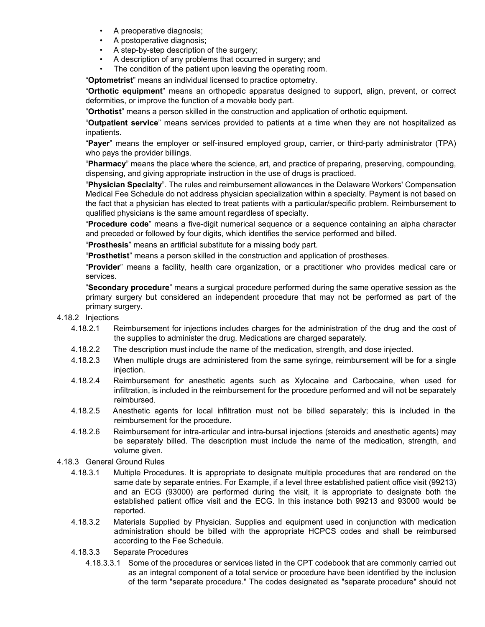- A preoperative diagnosis;
- A postoperative diagnosis;
- A step-by-step description of the surgery:
- A description of any problems that occurred in surgery; and
- The condition of the patient upon leaving the operating room.

"**Optometrist**" means an individual licensed to practice optometry.

"**Orthotic equipment**" means an orthopedic apparatus designed to support, align, prevent, or correct deformities, or improve the function of a movable body part.

"**Orthotist**" means a person skilled in the construction and application of orthotic equipment.

"**Outpatient service**" means services provided to patients at a time when they are not hospitalized as inpatients.

"**Payer**" means the employer or self-insured employed group, carrier, or third-party administrator (TPA) who pays the provider billings.

"**Pharmacy**" means the place where the science, art, and practice of preparing, preserving, compounding, dispensing, and giving appropriate instruction in the use of drugs is practiced.

"**Physician Specialty**". The rules and reimbursement allowances in the Delaware Workers' Compensation Medical Fee Schedule do not address physician specialization within a specialty. Payment is not based on the fact that a physician has elected to treat patients with a particular/specific problem. Reimbursement to qualified physicians is the same amount regardless of specialty.

"**Procedure code**" means a five-digit numerical sequence or a sequence containing an alpha character and preceded or followed by four digits, which identifies the service performed and billed.

"**Prosthesis**" means an artificial substitute for a missing body part.

"**Prosthetist**" means a person skilled in the construction and application of prostheses.

"**Provider**" means a facility, health care organization, or a practitioner who provides medical care or services.

"**Secondary procedure**" means a surgical procedure performed during the same operative session as the primary surgery but considered an independent procedure that may not be performed as part of the primary surgery.

#### 4.18.2 Injections

- 4.18.2.1 Reimbursement for injections includes charges for the administration of the drug and the cost of the supplies to administer the drug. Medications are charged separately.
- 4.18.2.2 The description must include the name of the medication, strength, and dose injected.
- 4.18.2.3 When multiple drugs are administered from the same syringe, reimbursement will be for a single injection.
- 4.18.2.4 Reimbursement for anesthetic agents such as Xylocaine and Carbocaine, when used for infiltration, is included in the reimbursement for the procedure performed and will not be separately reimbursed.
- 4.18.2.5 Anesthetic agents for local infiltration must not be billed separately; this is included in the reimbursement for the procedure.
- 4.18.2.6 Reimbursement for intra-articular and intra-bursal injections (steroids and anesthetic agents) may be separately billed. The description must include the name of the medication, strength, and volume given.
- 4.18.3 General Ground Rules
	- 4.18.3.1 Multiple Procedures. It is appropriate to designate multiple procedures that are rendered on the same date by separate entries. For Example, if a level three established patient office visit (99213) and an ECG (93000) are performed during the visit, it is appropriate to designate both the established patient office visit and the ECG. In this instance both 99213 and 93000 would be reported.
	- 4.18.3.2 Materials Supplied by Physician. Supplies and equipment used in conjunction with medication administration should be billed with the appropriate HCPCS codes and shall be reimbursed according to the Fee Schedule.
	- 4.18.3.3 Separate Procedures
		- 4.18.3.3.1 Some of the procedures or services listed in the CPT codebook that are commonly carried out as an integral component of a total service or procedure have been identified by the inclusion of the term "separate procedure." The codes designated as "separate procedure" should not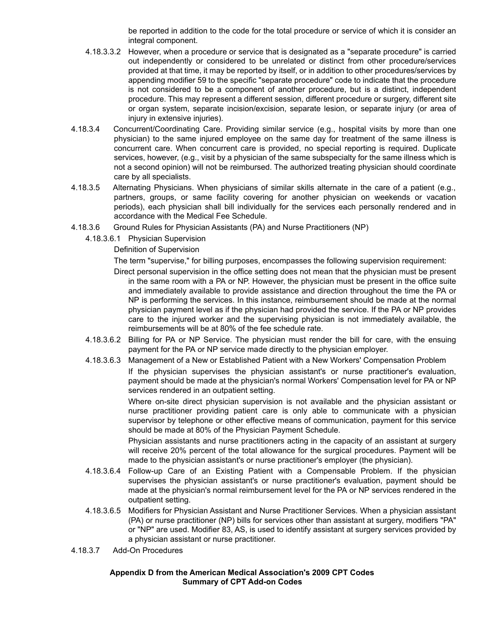be reported in addition to the code for the total procedure or service of which it is consider an integral component.

- 4.18.3.3.2 However, when a procedure or service that is designated as a "separate procedure" is carried out independently or considered to be unrelated or distinct from other procedure/services provided at that time, it may be reported by itself, or in addition to other procedures/services by appending modifier 59 to the specific "separate procedure" code to indicate that the procedure is not considered to be a component of another procedure, but is a distinct, independent procedure. This may represent a different session, different procedure or surgery, different site or organ system, separate incision/excision, separate lesion, or separate injury (or area of injury in extensive injuries).
- 4.18.3.4 Concurrent/Coordinating Care. Providing similar service (e.g., hospital visits by more than one physician) to the same injured employee on the same day for treatment of the same illness is concurrent care. When concurrent care is provided, no special reporting is required. Duplicate services, however, (e.g., visit by a physician of the same subspecialty for the same illness which is not a second opinion) will not be reimbursed. The authorized treating physician should coordinate care by all specialists.
- 4.18.3.5 Alternating Physicians. When physicians of similar skills alternate in the care of a patient (e.g., partners, groups, or same facility covering for another physician on weekends or vacation periods), each physician shall bill individually for the services each personally rendered and in accordance with the Medical Fee Schedule.
- 4.18.3.6 Ground Rules for Physician Assistants (PA) and Nurse Practitioners (NP)
	- 4.18.3.6.1 Physician Supervision

Definition of Supervision

The term "supervise," for billing purposes, encompasses the following supervision requirement:

Direct personal supervision in the office setting does not mean that the physician must be present in the same room with a PA or NP. However, the physician must be present in the office suite and immediately available to provide assistance and direction throughout the time the PA or NP is performing the services. In this instance, reimbursement should be made at the normal physician payment level as if the physician had provided the service. If the PA or NP provides care to the injured worker and the supervising physician is not immediately available, the reimbursements will be at 80% of the fee schedule rate.

- 4.18.3.6.2 Billing for PA or NP Service. The physician must render the bill for care, with the ensuing payment for the PA or NP service made directly to the physician employer.
- 4.18.3.6.3 Management of a New or Established Patient with a New Workers' Compensation Problem If the physician supervises the physician assistant's or nurse practitioner's evaluation, payment should be made at the physician's normal Workers' Compensation level for PA or NP services rendered in an outpatient setting.

Where on-site direct physician supervision is not available and the physician assistant or nurse practitioner providing patient care is only able to communicate with a physician supervisor by telephone or other effective means of communication, payment for this service should be made at 80% of the Physician Payment Schedule.

Physician assistants and nurse practitioners acting in the capacity of an assistant at surgery will receive 20% percent of the total allowance for the surgical procedures. Payment will be made to the physician assistant's or nurse practitioner's employer (the physician).

- 4.18.3.6.4 Follow-up Care of an Existing Patient with a Compensable Problem. If the physician supervises the physician assistant's or nurse practitioner's evaluation, payment should be made at the physician's normal reimbursement level for the PA or NP services rendered in the outpatient setting.
- 4.18.3.6.5 Modifiers for Physician Assistant and Nurse Practitioner Services. When a physician assistant (PA) or nurse practitioner (NP) bills for services other than assistant at surgery, modifiers "PA" or "NP" are used. Modifier 83, AS, is used to identify assistant at surgery services provided by a physician assistant or nurse practitioner.
- 4.18.3.7 Add-On Procedures

#### **Appendix D from the American Medical Association's 2009 CPT Codes Summary of CPT Add-on Codes**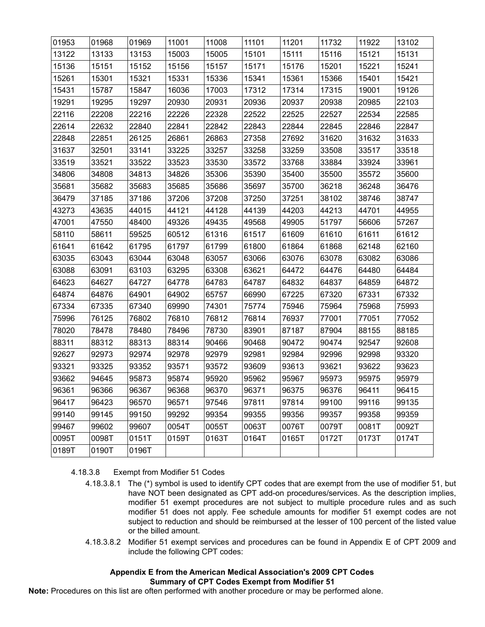| 01953 | 01968 | 01969 | 11001 | 11008 | 11101 | 11201 | 11732 | 11922 | 13102 |
|-------|-------|-------|-------|-------|-------|-------|-------|-------|-------|
| 13122 | 13133 | 13153 | 15003 | 15005 | 15101 | 15111 | 15116 | 15121 | 15131 |
| 15136 | 15151 | 15152 | 15156 | 15157 | 15171 | 15176 | 15201 | 15221 | 15241 |
| 15261 | 15301 | 15321 | 15331 | 15336 | 15341 | 15361 | 15366 | 15401 | 15421 |
| 15431 | 15787 | 15847 | 16036 | 17003 | 17312 | 17314 | 17315 | 19001 | 19126 |
| 19291 | 19295 | 19297 | 20930 | 20931 | 20936 | 20937 | 20938 | 20985 | 22103 |
| 22116 | 22208 | 22216 | 22226 | 22328 | 22522 | 22525 | 22527 | 22534 | 22585 |
| 22614 | 22632 | 22840 | 22841 | 22842 | 22843 | 22844 | 22845 | 22846 | 22847 |
| 22848 | 22851 | 26125 | 26861 | 26863 | 27358 | 27692 | 31620 | 31632 | 31633 |
| 31637 | 32501 | 33141 | 33225 | 33257 | 33258 | 33259 | 33508 | 33517 | 33518 |
| 33519 | 33521 | 33522 | 33523 | 33530 | 33572 | 33768 | 33884 | 33924 | 33961 |
| 34806 | 34808 | 34813 | 34826 | 35306 | 35390 | 35400 | 35500 | 35572 | 35600 |
| 35681 | 35682 | 35683 | 35685 | 35686 | 35697 | 35700 | 36218 | 36248 | 36476 |
| 36479 | 37185 | 37186 | 37206 | 37208 | 37250 | 37251 | 38102 | 38746 | 38747 |
| 43273 | 43635 | 44015 | 44121 | 44128 | 44139 | 44203 | 44213 | 44701 | 44955 |
| 47001 | 47550 | 48400 | 49326 | 49435 | 49568 | 49905 | 51797 | 56606 | 57267 |
| 58110 | 58611 | 59525 | 60512 | 61316 | 61517 | 61609 | 61610 | 61611 | 61612 |
| 61641 | 61642 | 61795 | 61797 | 61799 | 61800 | 61864 | 61868 | 62148 | 62160 |
| 63035 | 63043 | 63044 | 63048 | 63057 | 63066 | 63076 | 63078 | 63082 | 63086 |
| 63088 | 63091 | 63103 | 63295 | 63308 | 63621 | 64472 | 64476 | 64480 | 64484 |
| 64623 | 64627 | 64727 | 64778 | 64783 | 64787 | 64832 | 64837 | 64859 | 64872 |
| 64874 | 64876 | 64901 | 64902 | 65757 | 66990 | 67225 | 67320 | 67331 | 67332 |
| 67334 | 67335 | 67340 | 69990 | 74301 | 75774 | 75946 | 75964 | 75968 | 75993 |
| 75996 | 76125 | 76802 | 76810 | 76812 | 76814 | 76937 | 77001 | 77051 | 77052 |
| 78020 | 78478 | 78480 | 78496 | 78730 | 83901 | 87187 | 87904 | 88155 | 88185 |
| 88311 | 88312 | 88313 | 88314 | 90466 | 90468 | 90472 | 90474 | 92547 | 92608 |
| 92627 | 92973 | 92974 | 92978 | 92979 | 92981 | 92984 | 92996 | 92998 | 93320 |
| 93321 | 93325 | 93352 | 93571 | 93572 | 93609 | 93613 | 93621 | 93622 | 93623 |
| 93662 | 94645 | 95873 | 95874 | 95920 | 95962 | 95967 | 95973 | 95975 | 95979 |
| 96361 | 96366 | 96367 | 96368 | 96370 | 96371 | 96375 | 96376 | 96411 | 96415 |
| 96417 | 96423 | 96570 | 96571 | 97546 | 97811 | 97814 | 99100 | 99116 | 99135 |
| 99140 | 99145 | 99150 | 99292 | 99354 | 99355 | 99356 | 99357 | 99358 | 99359 |
| 99467 | 99602 | 99607 | 0054T | 0055T | 0063T | 0076T | 0079T | 0081T | 0092T |
| 0095T | 0098T | 0151T | 0159T | 0163T | 0164T | 0165T | 0172T | 0173T | 0174T |
| 0189T | 0190T | 0196T |       |       |       |       |       |       |       |

- 4.18.3.8 Exempt from Modifier 51 Codes
	- 4.18.3.8.1 The (\*) symbol is used to identify CPT codes that are exempt from the use of modifier 51, but have NOT been designated as CPT add-on procedures/services. As the description implies, modifier 51 exempt procedures are not subject to multiple procedure rules and as such modifier 51 does not apply. Fee schedule amounts for modifier 51 exempt codes are not subject to reduction and should be reimbursed at the lesser of 100 percent of the listed value or the billed amount.
	- 4.18.3.8.2 Modifier 51 exempt services and procedures can be found in Appendix E of CPT 2009 and include the following CPT codes:

### **Appendix E from the American Medical Association's 2009 CPT Codes Summary of CPT Codes Exempt from Modifier 51**

**Note:** Procedures on this list are often performed with another procedure or may be performed alone.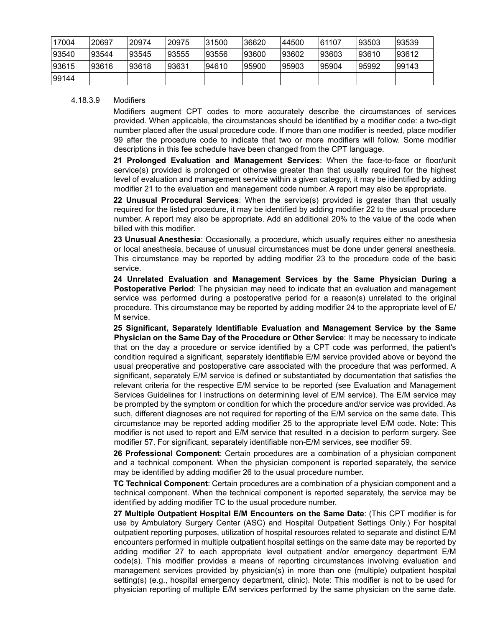| 17004  | 20697 | 20974 | 120975 | 31500 | 36620 | 44500 | 61107 | 93503 | 93539 |
|--------|-------|-------|--------|-------|-------|-------|-------|-------|-------|
| 93540  | 93544 | 93545 | 193555 | 93556 | 93600 | 93602 | 93603 | 93610 | 93612 |
| 93615  | 93616 | 93618 | 193631 | 94610 | 95900 | 95903 | 95904 | 95992 | 99143 |
| 199144 |       |       |        |       |       |       |       |       |       |

#### 4.18.3.9 Modifiers

Modifiers augment CPT codes to more accurately describe the circumstances of services provided. When applicable, the circumstances should be identified by a modifier code: a two-digit number placed after the usual procedure code. If more than one modifier is needed, place modifier 99 after the procedure code to indicate that two or more modifiers will follow. Some modifier descriptions in this fee schedule have been changed from the CPT language.

**21 Prolonged Evaluation and Management Services**: When the face-to-face or floor/unit service(s) provided is prolonged or otherwise greater than that usually required for the highest level of evaluation and management service within a given category, it may be identified by adding modifier 21 to the evaluation and management code number. A report may also be appropriate.

**22 Unusual Procedural Services**: When the service(s) provided is greater than that usually required for the listed procedure, it may be identified by adding modifier 22 to the usual procedure number. A report may also be appropriate. Add an additional 20% to the value of the code when billed with this modifier.

**23 Unusual Anesthesia**: Occasionally, a procedure, which usually requires either no anesthesia or local anesthesia, because of unusual circumstances must be done under general anesthesia. This circumstance may be reported by adding modifier 23 to the procedure code of the basic service.

**24 Unrelated Evaluation and Management Services by the Same Physician During a Postoperative Period:** The physician may need to indicate that an evaluation and management service was performed during a postoperative period for a reason(s) unrelated to the original procedure. This circumstance may be reported by adding modifier 24 to the appropriate level of E/ M service.

**25 Significant, Separately Identifiable Evaluation and Management Service by the Same Physician on the Same Day of the Procedure or Other Service**: It may be necessary to indicate that on the day a procedure or service identified by a CPT code was performed, the patient's condition required a significant, separately identifiable E/M service provided above or beyond the usual preoperative and postoperative care associated with the procedure that was performed. A significant, separately E/M service is defined or substantiated by documentation that satisfies the relevant criteria for the respective E/M service to be reported (see Evaluation and Management Services Guidelines for I instructions on determining level of E/M service). The E/M service may be prompted by the symptom or condition for which the procedure and/or service was provided. As such, different diagnoses are not required for reporting of the E/M service on the same date. This circumstance may be reported adding modifier 25 to the appropriate level E/M code. Note: This modifier is not used to report and E/M service that resulted in a decision to perform surgery. See modifier 57. For significant, separately identifiable non-E/M services, see modifier 59.

**26 Professional Component**: Certain procedures are a combination of a physician component and a technical component. When the physician component is reported separately, the service may be identified by adding modifier 26 to the usual procedure number.

**TC Technical Component**: Certain procedures are a combination of a physician component and a technical component. When the technical component is reported separately, the service may be identified by adding modifier TC to the usual procedure number.

**27 Multiple Outpatient Hospital E/M Encounters on the Same Date**: (This CPT modifier is for use by Ambulatory Surgery Center (ASC) and Hospital Outpatient Settings Only.) For hospital outpatient reporting purposes, utilization of hospital resources related to separate and distinct E/M encounters performed in multiple outpatient hospital settings on the same date may be reported by adding modifier 27 to each appropriate level outpatient and/or emergency department E/M code(s). This modifier provides a means of reporting circumstances involving evaluation and management services provided by physician(s) in more than one (multiple) outpatient hospital setting(s) (e.g., hospital emergency department, clinic). Note: This modifier is not to be used for physician reporting of multiple E/M services performed by the same physician on the same date.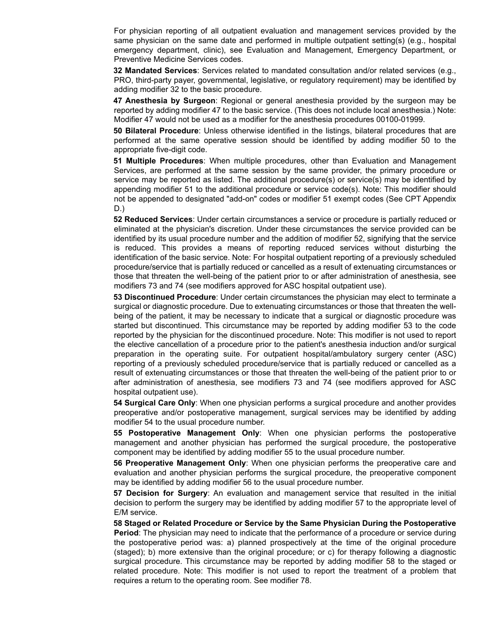For physician reporting of all outpatient evaluation and management services provided by the same physician on the same date and performed in multiple outpatient setting(s) (e.g., hospital emergency department, clinic), see Evaluation and Management, Emergency Department, or Preventive Medicine Services codes.

**32 Mandated Services**: Services related to mandated consultation and/or related services (e.g., PRO, third-party payer, governmental, legislative, or regulatory requirement) may be identified by adding modifier 32 to the basic procedure.

**47 Anesthesia by Surgeon**: Regional or general anesthesia provided by the surgeon may be reported by adding modifier 47 to the basic service. (This does not include local anesthesia.) Note: Modifier 47 would not be used as a modifier for the anesthesia procedures 00100-01999.

**50 Bilateral Procedure**: Unless otherwise identified in the listings, bilateral procedures that are performed at the same operative session should be identified by adding modifier 50 to the appropriate five-digit code.

**51 Multiple Procedures**: When multiple procedures, other than Evaluation and Management Services, are performed at the same session by the same provider, the primary procedure or service may be reported as listed. The additional procedure(s) or service(s) may be identified by appending modifier 51 to the additional procedure or service code(s). Note: This modifier should not be appended to designated "add-on" codes or modifier 51 exempt codes (See CPT Appendix D.)

**52 Reduced Services**: Under certain circumstances a service or procedure is partially reduced or eliminated at the physician's discretion. Under these circumstances the service provided can be identified by its usual procedure number and the addition of modifier 52, signifying that the service is reduced. This provides a means of reporting reduced services without disturbing the identification of the basic service. Note: For hospital outpatient reporting of a previously scheduled procedure/service that is partially reduced or cancelled as a result of extenuating circumstances or those that threaten the well-being of the patient prior to or after administration of anesthesia, see modifiers 73 and 74 (see modifiers approved for ASC hospital outpatient use).

**53 Discontinued Procedure**: Under certain circumstances the physician may elect to terminate a surgical or diagnostic procedure. Due to extenuating circumstances or those that threaten the wellbeing of the patient, it may be necessary to indicate that a surgical or diagnostic procedure was started but discontinued. This circumstance may be reported by adding modifier 53 to the code reported by the physician for the discontinued procedure. Note: This modifier is not used to report the elective cancellation of a procedure prior to the patient's anesthesia induction and/or surgical preparation in the operating suite. For outpatient hospital/ambulatory surgery center (ASC) reporting of a previously scheduled procedure/service that is partially reduced or cancelled as a result of extenuating circumstances or those that threaten the well-being of the patient prior to or after administration of anesthesia, see modifiers 73 and 74 (see modifiers approved for ASC hospital outpatient use).

**54 Surgical Care Only**: When one physician performs a surgical procedure and another provides preoperative and/or postoperative management, surgical services may be identified by adding modifier 54 to the usual procedure number.

**55 Postoperative Management Only**: When one physician performs the postoperative management and another physician has performed the surgical procedure, the postoperative component may be identified by adding modifier 55 to the usual procedure number.

**56 Preoperative Management Only**: When one physician performs the preoperative care and evaluation and another physician performs the surgical procedure, the preoperative component may be identified by adding modifier 56 to the usual procedure number.

**57 Decision for Surgery**: An evaluation and management service that resulted in the initial decision to perform the surgery may be identified by adding modifier 57 to the appropriate level of E/M service.

**58 Staged or Related Procedure or Service by the Same Physician During the Postoperative Period**: The physician may need to indicate that the performance of a procedure or service during the postoperative period was: a) planned prospectively at the time of the original procedure (staged); b) more extensive than the original procedure; or c) for therapy following a diagnostic surgical procedure. This circumstance may be reported by adding modifier 58 to the staged or related procedure. Note: This modifier is not used to report the treatment of a problem that requires a return to the operating room. See modifier 78.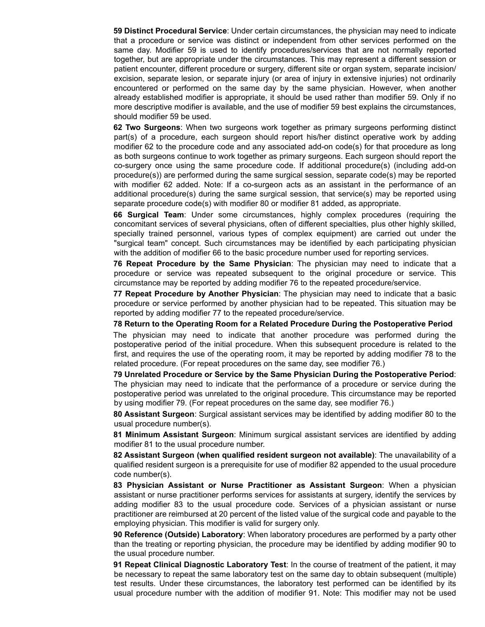**59 Distinct Procedural Service**: Under certain circumstances, the physician may need to indicate that a procedure or service was distinct or independent from other services performed on the same day. Modifier 59 is used to identify procedures/services that are not normally reported together, but are appropriate under the circumstances. This may represent a different session or patient encounter, different procedure or surgery, different site or organ system, separate incision/ excision, separate lesion, or separate injury (or area of injury in extensive injuries) not ordinarily encountered or performed on the same day by the same physician. However, when another already established modifier is appropriate, it should be used rather than modifier 59. Only if no more descriptive modifier is available, and the use of modifier 59 best explains the circumstances, should modifier 59 be used.

**62 Two Surgeons**: When two surgeons work together as primary surgeons performing distinct part(s) of a procedure, each surgeon should report his/her distinct operative work by adding modifier 62 to the procedure code and any associated add-on code(s) for that procedure as long as both surgeons continue to work together as primary surgeons. Each surgeon should report the co-surgery once using the same procedure code. If additional procedure(s) (including add-on procedure(s)) are performed during the same surgical session, separate code(s) may be reported with modifier 62 added. Note: If a co-surgeon acts as an assistant in the performance of an additional procedure(s) during the same surgical session, that service(s) may be reported using separate procedure code(s) with modifier 80 or modifier 81 added, as appropriate.

**66 Surgical Team**: Under some circumstances, highly complex procedures (requiring the concomitant services of several physicians, often of different specialties, plus other highly skilled, specially trained personnel, various types of complex equipment) are carried out under the "surgical team" concept. Such circumstances may be identified by each participating physician with the addition of modifier 66 to the basic procedure number used for reporting services.

**76 Repeat Procedure by the Same Physician**: The physician may need to indicate that a procedure or service was repeated subsequent to the original procedure or service. This circumstance may be reported by adding modifier 76 to the repeated procedure/service.

**77 Repeat Procedure by Another Physician**: The physician may need to indicate that a basic procedure or service performed by another physician had to be repeated. This situation may be reported by adding modifier 77 to the repeated procedure/service.

**78 Return to the Operating Room for a Related Procedure During the Postoperative Period**

The physician may need to indicate that another procedure was performed during the postoperative period of the initial procedure. When this subsequent procedure is related to the first, and requires the use of the operating room, it may be reported by adding modifier 78 to the related procedure. (For repeat procedures on the same day, see modifier 76.)

**79 Unrelated Procedure or Service by the Same Physician During the Postoperative Period**: The physician may need to indicate that the performance of a procedure or service during the postoperative period was unrelated to the original procedure. This circumstance may be reported by using modifier 79. (For repeat procedures on the same day, see modifier 76.)

**80 Assistant Surgeon**: Surgical assistant services may be identified by adding modifier 80 to the usual procedure number(s).

**81 Minimum Assistant Surgeon**: Minimum surgical assistant services are identified by adding modifier 81 to the usual procedure number.

**82 Assistant Surgeon (when qualified resident surgeon not available)**: The unavailability of a qualified resident surgeon is a prerequisite for use of modifier 82 appended to the usual procedure code number(s).

**83 Physician Assistant or Nurse Practitioner as Assistant Surgeon**: When a physician assistant or nurse practitioner performs services for assistants at surgery, identify the services by adding modifier 83 to the usual procedure code. Services of a physician assistant or nurse practitioner are reimbursed at 20 percent of the listed value of the surgical code and payable to the employing physician. This modifier is valid for surgery only.

**90 Reference (Outside) Laboratory**: When laboratory procedures are performed by a party other than the treating or reporting physician, the procedure may be identified by adding modifier 90 to the usual procedure number.

**91 Repeat Clinical Diagnostic Laboratory Test**: In the course of treatment of the patient, it may be necessary to repeat the same laboratory test on the same day to obtain subsequent (multiple) test results. Under these circumstances, the laboratory test performed can be identified by its usual procedure number with the addition of modifier 91. Note: This modifier may not be used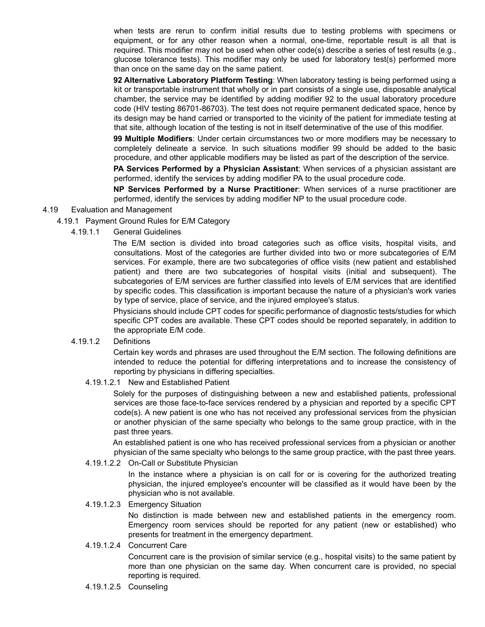when tests are rerun to confirm initial results due to testing problems with specimens or equipment, or for any other reason when a normal, one-time, reportable result is all that is required. This modifier may not be used when other code(s) describe a series of test results (e.g., glucose tolerance tests). This modifier may only be used for laboratory test(s) performed more than once on the same day on the same patient.

**92 Alternative Laboratory Platform Testing**: When laboratory testing is being performed using a kit or transportable instrument that wholly or in part consists of a single use, disposable analytical chamber, the service may be identified by adding modifier 92 to the usual laboratory procedure code (HIV testing 86701-86703). The test does not require permanent dedicated space, hence by its design may be hand carried or transported to the vicinity of the patient for immediate testing at that site, although location of the testing is not in itself determinative of the use of this modifier.

**99 Multiple Modifiers**: Under certain circumstances two or more modifiers may be necessary to completely delineate a service. In such situations modifier 99 should be added to the basic procedure, and other applicable modifiers may be listed as part of the description of the service.

**PA Services Performed by a Physician Assistant**: When services of a physician assistant are performed, identify the services by adding modifier PA to the usual procedure code.

**NP Services Performed by a Nurse Practitioner**: When services of a nurse practitioner are performed, identify the services by adding modifier NP to the usual procedure code.

- 4.19 Evaluation and Management
	- 4.19.1 Payment Ground Rules for E/M Category
		- 4.19.1.1 General Guidelines

The E/M section is divided into broad categories such as office visits, hospital visits, and consultations. Most of the categories are further divided into two or more subcategories of E/M services. For example, there are two subcategories of office visits (new patient and established patient) and there are two subcategories of hospital visits (initial and subsequent). The subcategories of E/M services are further classified into levels of E/M services that are identified by specific codes. This classification is important because the nature of a physician's work varies by type of service, place of service, and the injured employee's status.

Physicians should include CPT codes for specific performance of diagnostic tests/studies for which specific CPT codes are available. These CPT codes should be reported separately, in addition to the appropriate E/M code.

#### 4.19.1.2 Definitions

Certain key words and phrases are used throughout the E/M section. The following definitions are intended to reduce the potential for differing interpretations and to increase the consistency of reporting by physicians in differing specialties.

4.19.1.2.1 New and Established Patient

Solely for the purposes of distinguishing between a new and established patients, professional services are those face-to-face services rendered by a physician and reported by a specific CPT code(s). A new patient is one who has not received any professional services from the physician or another physician of the same specialty who belongs to the same group practice, with in the past three years.

An established patient is one who has received professional services from a physician or another physician of the same specialty who belongs to the same group practice, with the past three years.

### 4.19.1.2.2 On-Call or Substitute Physician

In the instance where a physician is on call for or is covering for the authorized treating physician, the injured employee's encounter will be classified as it would have been by the physician who is not available.

### 4.19.1.2.3 Emergency Situation

No distinction is made between new and established patients in the emergency room. Emergency room services should be reported for any patient (new or established) who presents for treatment in the emergency department.

### 4.19.1.2.4 Concurrent Care

Concurrent care is the provision of similar service (e.g., hospital visits) to the same patient by more than one physician on the same day. When concurrent care is provided, no special reporting is required.

4.19.1.2.5 Counseling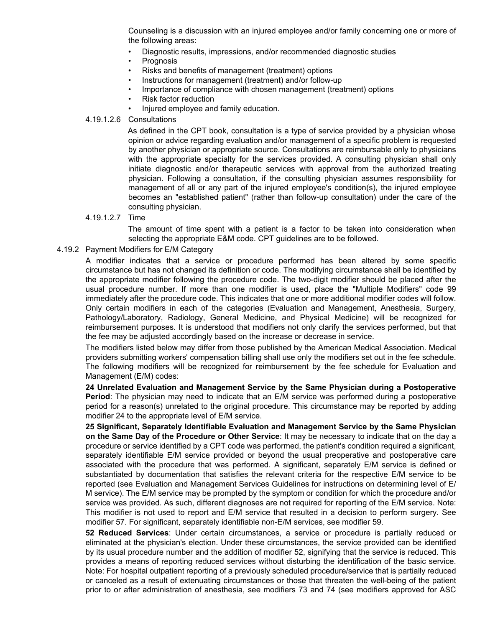Counseling is a discussion with an injured employee and/or family concerning one or more of the following areas:

- Diagnostic results, impressions, and/or recommended diagnostic studies
- **Prognosis**
- Risks and benefits of management (treatment) options
- Instructions for management (treatment) and/or follow-up
- Importance of compliance with chosen management (treatment) options
- Risk factor reduction
- Injured employee and family education.
- 4.19.1.2.6 Consultations

As defined in the CPT book, consultation is a type of service provided by a physician whose opinion or advice regarding evaluation and/or management of a specific problem is requested by another physician or appropriate source. Consultations are reimbursable only to physicians with the appropriate specialty for the services provided. A consulting physician shall only initiate diagnostic and/or therapeutic services with approval from the authorized treating physician. Following a consultation, if the consulting physician assumes responsibility for management of all or any part of the injured employee's condition(s), the injured employee becomes an "established patient" (rather than follow-up consultation) under the care of the consulting physician.

4.19.1.2.7 Time

The amount of time spent with a patient is a factor to be taken into consideration when selecting the appropriate E&M code. CPT guidelines are to be followed.

#### 4.19.2 Payment Modifiers for E/M Category

A modifier indicates that a service or procedure performed has been altered by some specific circumstance but has not changed its definition or code. The modifying circumstance shall be identified by the appropriate modifier following the procedure code. The two-digit modifier should be placed after the usual procedure number. If more than one modifier is used, place the "Multiple Modifiers" code 99 immediately after the procedure code. This indicates that one or more additional modifier codes will follow. Only certain modifiers in each of the categories (Evaluation and Management, Anesthesia, Surgery, Pathology/Laboratory, Radiology, General Medicine, and Physical Medicine) will be recognized for reimbursement purposes. It is understood that modifiers not only clarify the services performed, but that the fee may be adjusted accordingly based on the increase or decrease in service.

The modifiers listed below may differ from those published by the American Medical Association. Medical providers submitting workers' compensation billing shall use only the modifiers set out in the fee schedule. The following modifiers will be recognized for reimbursement by the fee schedule for Evaluation and Management (E/M) codes:

**24 Unrelated Evaluation and Management Service by the Same Physician during a Postoperative Period**: The physician may need to indicate that an E/M service was performed during a postoperative period for a reason(s) unrelated to the original procedure. This circumstance may be reported by adding modifier 24 to the appropriate level of E/M service.

**25 Significant, Separately Identifiable Evaluation and Management Service by the Same Physician on the Same Day of the Procedure or Other Service**: It may be necessary to indicate that on the day a procedure or service identified by a CPT code was performed, the patient's condition required a significant, separately identifiable E/M service provided or beyond the usual preoperative and postoperative care associated with the procedure that was performed. A significant, separately E/M service is defined or substantiated by documentation that satisfies the relevant criteria for the respective E/M service to be reported (see Evaluation and Management Services Guidelines for instructions on determining level of E/ M service). The E/M service may be prompted by the symptom or condition for which the procedure and/or service was provided. As such, different diagnoses are not required for reporting of the E/M service. Note: This modifier is not used to report and E/M service that resulted in a decision to perform surgery. See modifier 57. For significant, separately identifiable non-E/M services, see modifier 59.

**52 Reduced Services**: Under certain circumstances, a service or procedure is partially reduced or eliminated at the physician's election. Under these circumstances, the service provided can be identified by its usual procedure number and the addition of modifier 52, signifying that the service is reduced. This provides a means of reporting reduced services without disturbing the identification of the basic service. Note: For hospital outpatient reporting of a previously scheduled procedure/service that is partially reduced or canceled as a result of extenuating circumstances or those that threaten the well-being of the patient prior to or after administration of anesthesia, see modifiers 73 and 74 (see modifiers approved for ASC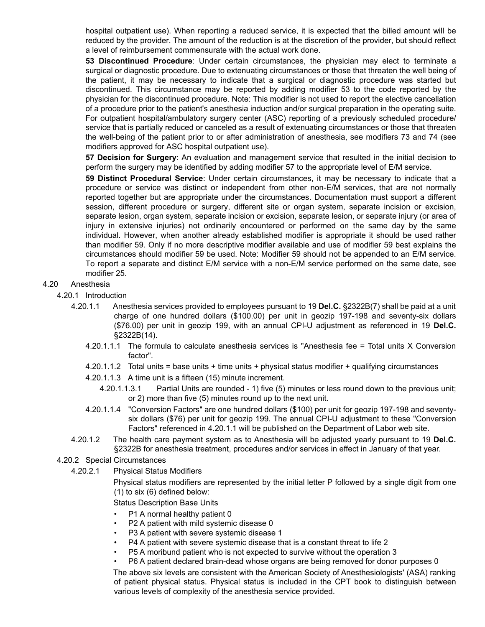hospital outpatient use). When reporting a reduced service, it is expected that the billed amount will be reduced by the provider. The amount of the reduction is at the discretion of the provider, but should reflect a level of reimbursement commensurate with the actual work done.

**53 Discontinued Procedure**: Under certain circumstances, the physician may elect to terminate a surgical or diagnostic procedure. Due to extenuating circumstances or those that threaten the well being of the patient, it may be necessary to indicate that a surgical or diagnostic procedure was started but discontinued. This circumstance may be reported by adding modifier 53 to the code reported by the physician for the discontinued procedure. Note: This modifier is not used to report the elective cancellation of a procedure prior to the patient's anesthesia induction and/or surgical preparation in the operating suite. For outpatient hospital/ambulatory surgery center (ASC) reporting of a previously scheduled procedure/ service that is partially reduced or canceled as a result of extenuating circumstances or those that threaten the well-being of the patient prior to or after administration of anesthesia, see modifiers 73 and 74 (see modifiers approved for ASC hospital outpatient use).

**57 Decision for Surgery**: An evaluation and management service that resulted in the initial decision to perform the surgery may be identified by adding modifier 57 to the appropriate level of E/M service.

**59 Distinct Procedural Service**: Under certain circumstances, it may be necessary to indicate that a procedure or service was distinct or independent from other non-E/M services, that are not normally reported together but are appropriate under the circumstances. Documentation must support a different session, different procedure or surgery, different site or organ system, separate incision or excision, separate lesion, organ system, separate incision or excision, separate lesion, or separate injury (or area of injury in extensive injuries) not ordinarily encountered or performed on the same day by the same individual. However, when another already established modifier is appropriate it should be used rather than modifier 59. Only if no more descriptive modifier available and use of modifier 59 best explains the circumstances should modifier 59 be used. Note: Modifier 59 should not be appended to an E/M service. To report a separate and distinct E/M service with a non-E/M service performed on the same date, see modifier 25.

#### 4.20 Anesthesia

- 4.20.1 Introduction
	- 4.20.1.1 Anesthesia services provided to employees pursuant to 19 **Del.C.** §2322B(7) shall be paid at a unit charge of one hundred dollars (\$100.00) per unit in geozip 197-198 and seventy-six dollars (\$76.00) per unit in geozip 199, with an annual CPI-U adjustment as referenced in 19 **Del.C.** §2322B(14).
		- 4.20.1.1.1 The formula to calculate anesthesia services is "Anesthesia fee = Total units X Conversion factor".
		- 4.20.1.1.2 Total units = base units + time units + physical status modifier + qualifying circumstances
		- 4.20.1.1.3 A time unit is a fifteen (15) minute increment.
			- 4.20.1.1.3.1 Partial Units are rounded 1) five (5) minutes or less round down to the previous unit; or 2) more than five (5) minutes round up to the next unit.
		- 4.20.1.1.4 "Conversion Factors" are one hundred dollars (\$100) per unit for geozip 197-198 and seventysix dollars (\$76) per unit for geozip 199. The annual CPI-U adjustment to these "Conversion Factors" referenced in 4.20.1.1 will be published on the Department of Labor web site.
	- 4.20.1.2 The health care payment system as to Anesthesia will be adjusted yearly pursuant to 19 **Del.C.** §2322B for anesthesia treatment, procedures and/or services in effect in January of that year.
- 4.20.2 Special Circumstances
	- 4.20.2.1 Physical Status Modifiers

Physical status modifiers are represented by the initial letter P followed by a single digit from one (1) to six (6) defined below:

Status Description Base Units

- P1 A normal healthy patient 0
- P2 A patient with mild systemic disease 0
- P3 A patient with severe systemic disease 1
- P4 A patient with severe systemic disease that is a constant threat to life 2
- P5 A moribund patient who is not expected to survive without the operation 3
- P6 A patient declared brain-dead whose organs are being removed for donor purposes 0

The above six levels are consistent with the American Society of Anesthesiologists' (ASA) ranking of patient physical status. Physical status is included in the CPT book to distinguish between various levels of complexity of the anesthesia service provided.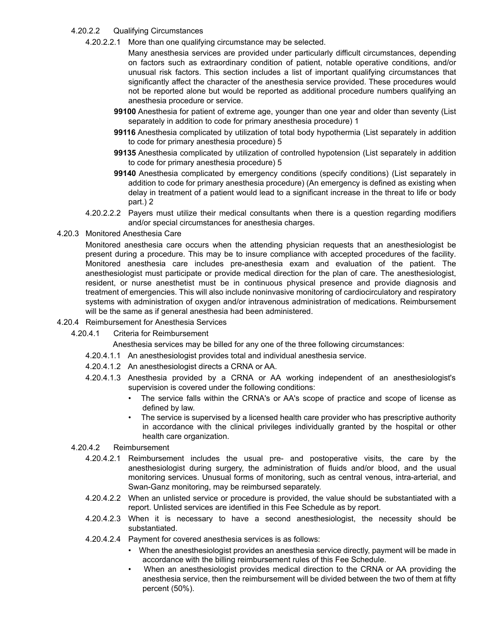### 4.20.2.2 Qualifying Circumstances

4.20.2.2.1 More than one qualifying circumstance may be selected.

Many anesthesia services are provided under particularly difficult circumstances, depending on factors such as extraordinary condition of patient, notable operative conditions, and/or unusual risk factors. This section includes a list of important qualifying circumstances that significantly affect the character of the anesthesia service provided. These procedures would not be reported alone but would be reported as additional procedure numbers qualifying an anesthesia procedure or service.

- **99100** Anesthesia for patient of extreme age, younger than one year and older than seventy (List separately in addition to code for primary anesthesia procedure) 1
- **99116** Anesthesia complicated by utilization of total body hypothermia (List separately in addition to code for primary anesthesia procedure) 5
- **99135** Anesthesia complicated by utilization of controlled hypotension (List separately in addition to code for primary anesthesia procedure) 5
- **99140** Anesthesia complicated by emergency conditions (specify conditions) (List separately in addition to code for primary anesthesia procedure) (An emergency is defined as existing when delay in treatment of a patient would lead to a significant increase in the threat to life or body part.) 2
- 4.20.2.2.2 Payers must utilize their medical consultants when there is a question regarding modifiers and/or special circumstances for anesthesia charges.
- 4.20.3 Monitored Anesthesia Care

Monitored anesthesia care occurs when the attending physician requests that an anesthesiologist be present during a procedure. This may be to insure compliance with accepted procedures of the facility. Monitored anesthesia care includes pre-anesthesia exam and evaluation of the patient. The anesthesiologist must participate or provide medical direction for the plan of care. The anesthesiologist, resident, or nurse anesthetist must be in continuous physical presence and provide diagnosis and treatment of emergencies. This will also include noninvasive monitoring of cardiocirculatory and respiratory systems with administration of oxygen and/or intravenous administration of medications. Reimbursement will be the same as if general anesthesia had been administered.

- 4.20.4 Reimbursement for Anesthesia Services
	- 4.20.4.1 Criteria for Reimbursement

Anesthesia services may be billed for any one of the three following circumstances:

- 4.20.4.1.1 An anesthesiologist provides total and individual anesthesia service.
- 4.20.4.1.2 An anesthesiologist directs a CRNA or AA.
- 4.20.4.1.3 Anesthesia provided by a CRNA or AA working independent of an anesthesiologist's supervision is covered under the following conditions:
	- The service falls within the CRNA's or AA's scope of practice and scope of license as defined by law.
	- The service is supervised by a licensed health care provider who has prescriptive authority in accordance with the clinical privileges individually granted by the hospital or other health care organization.

#### 4.20.4.2 Reimbursement

- 4.20.4.2.1 Reimbursement includes the usual pre- and postoperative visits, the care by the anesthesiologist during surgery, the administration of fluids and/or blood, and the usual monitoring services. Unusual forms of monitoring, such as central venous, intra-arterial, and Swan-Ganz monitoring, may be reimbursed separately.
- 4.20.4.2.2 When an unlisted service or procedure is provided, the value should be substantiated with a report. Unlisted services are identified in this Fee Schedule as by report.
- 4.20.4.2.3 When it is necessary to have a second anesthesiologist, the necessity should be substantiated.
- 4.20.4.2.4 Payment for covered anesthesia services is as follows:
	- When the anesthesiologist provides an anesthesia service directly, payment will be made in accordance with the billing reimbursement rules of this Fee Schedule.
	- When an anesthesiologist provides medical direction to the CRNA or AA providing the anesthesia service, then the reimbursement will be divided between the two of them at fifty percent (50%).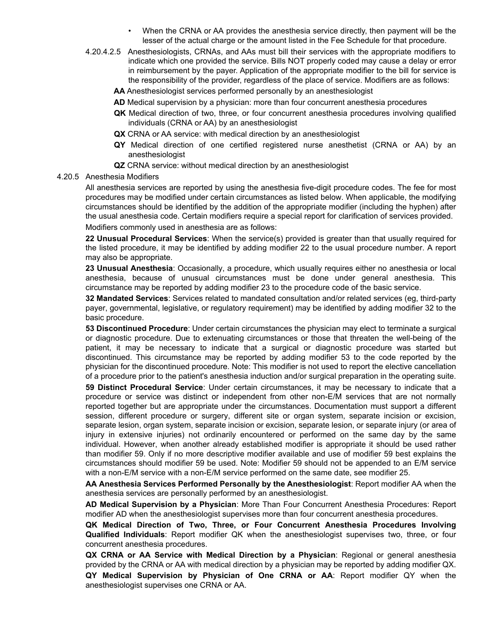- When the CRNA or AA provides the anesthesia service directly, then payment will be the lesser of the actual charge or the amount listed in the Fee Schedule for that procedure.
- 4.20.4.2.5 Anesthesiologists, CRNAs, and AAs must bill their services with the appropriate modifiers to indicate which one provided the service. Bills NOT properly coded may cause a delay or error in reimbursement by the payer. Application of the appropriate modifier to the bill for service is the responsibility of the provider, regardless of the place of service. Modifiers are as follows:
	- **AA** Anesthesiologist services performed personally by an anesthesiologist
	- **AD** Medical supervision by a physician: more than four concurrent anesthesia procedures
	- **QK** Medical direction of two, three, or four concurrent anesthesia procedures involving qualified individuals (CRNA or AA) by an anesthesiologist
	- **QX** CRNA or AA service: with medical direction by an anesthesiologist
	- **QY** Medical direction of one certified registered nurse anesthetist (CRNA or AA) by an anesthesiologist
	- **QZ** CRNA service: without medical direction by an anesthesiologist
- 4.20.5 Anesthesia Modifiers

All anesthesia services are reported by using the anesthesia five-digit procedure codes. The fee for most procedures may be modified under certain circumstances as listed below. When applicable, the modifying circumstances should be identified by the addition of the appropriate modifier (including the hyphen) after the usual anesthesia code. Certain modifiers require a special report for clarification of services provided.

Modifiers commonly used in anesthesia are as follows:

**22 Unusual Procedural Services**: When the service(s) provided is greater than that usually required for the listed procedure, it may be identified by adding modifier 22 to the usual procedure number. A report may also be appropriate.

**23 Unusual Anesthesia**: Occasionally, a procedure, which usually requires either no anesthesia or local anesthesia, because of unusual circumstances must be done under general anesthesia. This circumstance may be reported by adding modifier 23 to the procedure code of the basic service.

**32 Mandated Services**: Services related to mandated consultation and/or related services (eg, third-party payer, governmental, legislative, or regulatory requirement) may be identified by adding modifier 32 to the basic procedure.

**53 Discontinued Procedure**: Under certain circumstances the physician may elect to terminate a surgical or diagnostic procedure. Due to extenuating circumstances or those that threaten the well-being of the patient, it may be necessary to indicate that a surgical or diagnostic procedure was started but discontinued. This circumstance may be reported by adding modifier 53 to the code reported by the physician for the discontinued procedure. Note: This modifier is not used to report the elective cancellation of a procedure prior to the patient's anesthesia induction and/or surgical preparation in the operating suite.

**59 Distinct Procedural Service**: Under certain circumstances, it may be necessary to indicate that a procedure or service was distinct or independent from other non-E/M services that are not normally reported together but are appropriate under the circumstances. Documentation must support a different session, different procedure or surgery, different site or organ system, separate incision or excision, separate lesion, organ system, separate incision or excision, separate lesion, or separate injury (or area of injury in extensive injuries) not ordinarily encountered or performed on the same day by the same individual. However, when another already established modifier is appropriate it should be used rather than modifier 59. Only if no more descriptive modifier available and use of modifier 59 best explains the circumstances should modifier 59 be used. Note: Modifier 59 should not be appended to an E/M service with a non-E/M service with a non-E/M service performed on the same date, see modifier 25.

**AA Anesthesia Services Performed Personally by the Anesthesiologist**: Report modifier AA when the anesthesia services are personally performed by an anesthesiologist.

**AD Medical Supervision by a Physician**: More Than Four Concurrent Anesthesia Procedures: Report modifier AD when the anesthesiologist supervises more than four concurrent anesthesia procedures.

**QK Medical Direction of Two, Three, or Four Concurrent Anesthesia Procedures Involving Qualified Individuals**: Report modifier QK when the anesthesiologist supervises two, three, or four concurrent anesthesia procedures.

**QX CRNA or AA Service with Medical Direction by a Physician**: Regional or general anesthesia provided by the CRNA or AA with medical direction by a physician may be reported by adding modifier QX. **QY Medical Supervision by Physician of One CRNA or AA**: Report modifier QY when the anesthesiologist supervises one CRNA or AA.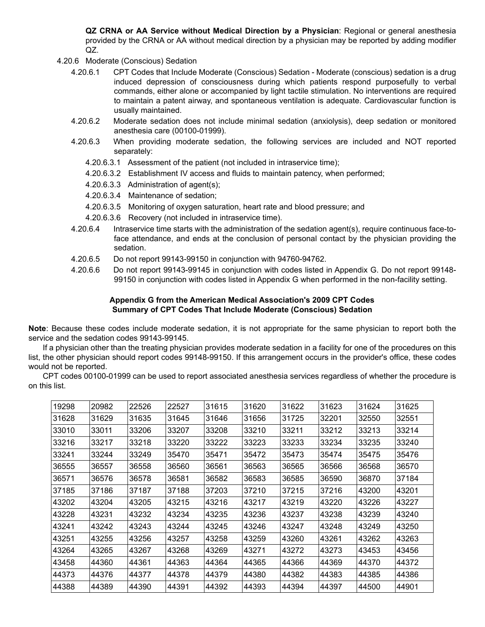**QZ CRNA or AA Service without Medical Direction by a Physician**: Regional or general anesthesia provided by the CRNA or AA without medical direction by a physician may be reported by adding modifier QZ.

- 4.20.6 Moderate (Conscious) Sedation
	- 4.20.6.1 CPT Codes that Include Moderate (Conscious) Sedation Moderate (conscious) sedation is a drug induced depression of consciousness during which patients respond purposefully to verbal commands, either alone or accompanied by light tactile stimulation. No interventions are required to maintain a patent airway, and spontaneous ventilation is adequate. Cardiovascular function is usually maintained.
	- 4.20.6.2 Moderate sedation does not include minimal sedation (anxiolysis), deep sedation or monitored anesthesia care (00100-01999).
	- 4.20.6.3 When providing moderate sedation, the following services are included and NOT reported separately:
		- 4.20.6.3.1 Assessment of the patient (not included in intraservice time);
		- 4.20.6.3.2 Establishment IV access and fluids to maintain patency, when performed;
		- 4.20.6.3.3 Administration of agent(s);
		- 4.20.6.3.4 Maintenance of sedation;
		- 4.20.6.3.5 Monitoring of oxygen saturation, heart rate and blood pressure; and
		- 4.20.6.3.6 Recovery (not included in intraservice time).
	- 4.20.6.4 Intraservice time starts with the administration of the sedation agent(s), require continuous face-toface attendance, and ends at the conclusion of personal contact by the physician providing the sedation.
	- 4.20.6.5 Do not report 99143-99150 in conjunction with 94760-94762.
	- 4.20.6.6 Do not report 99143-99145 in conjunction with codes listed in Appendix G. Do not report 99148- 99150 in conjunction with codes listed in Appendix G when performed in the non-facility setting.

#### **Appendix G from the American Medical Association's 2009 CPT Codes Summary of CPT Codes That Include Moderate (Conscious) Sedation**

**Note**: Because these codes include moderate sedation, it is not appropriate for the same physician to report both the service and the sedation codes 99143-99145.

If a physician other than the treating physician provides moderate sedation in a facility for one of the procedures on this list, the other physician should report codes 99148-99150. If this arrangement occurs in the provider's office, these codes would not be reported.

CPT codes 00100-01999 can be used to report associated anesthesia services regardless of whether the procedure is on this list.

| 19298 | 20982 | 22526 | 22527 | 31615 | 31620 | 31622 | 31623 | 31624 | 31625 |
|-------|-------|-------|-------|-------|-------|-------|-------|-------|-------|
| 31628 | 31629 | 31635 | 31645 | 31646 | 31656 | 31725 | 32201 | 32550 | 32551 |
| 33010 | 33011 | 33206 | 33207 | 33208 | 33210 | 33211 | 33212 | 33213 | 33214 |
| 33216 | 33217 | 33218 | 33220 | 33222 | 33223 | 33233 | 33234 | 33235 | 33240 |
| 33241 | 33244 | 33249 | 35470 | 35471 | 35472 | 35473 | 35474 | 35475 | 35476 |
| 36555 | 36557 | 36558 | 36560 | 36561 | 36563 | 36565 | 36566 | 36568 | 36570 |
| 36571 | 36576 | 36578 | 36581 | 36582 | 36583 | 36585 | 36590 | 36870 | 37184 |
| 37185 | 37186 | 37187 | 37188 | 37203 | 37210 | 37215 | 37216 | 43200 | 43201 |
| 43202 | 43204 | 43205 | 43215 | 43216 | 43217 | 43219 | 43220 | 43226 | 43227 |
| 43228 | 43231 | 43232 | 43234 | 43235 | 43236 | 43237 | 43238 | 43239 | 43240 |
| 43241 | 43242 | 43243 | 43244 | 43245 | 43246 | 43247 | 43248 | 43249 | 43250 |
| 43251 | 43255 | 43256 | 43257 | 43258 | 43259 | 43260 | 43261 | 43262 | 43263 |
| 43264 | 43265 | 43267 | 43268 | 43269 | 43271 | 43272 | 43273 | 43453 | 43456 |
| 43458 | 44360 | 44361 | 44363 | 44364 | 44365 | 44366 | 44369 | 44370 | 44372 |
| 44373 | 44376 | 44377 | 44378 | 44379 | 44380 | 44382 | 44383 | 44385 | 44386 |
| 44388 | 44389 | 44390 | 44391 | 44392 | 44393 | 44394 | 44397 | 44500 | 44901 |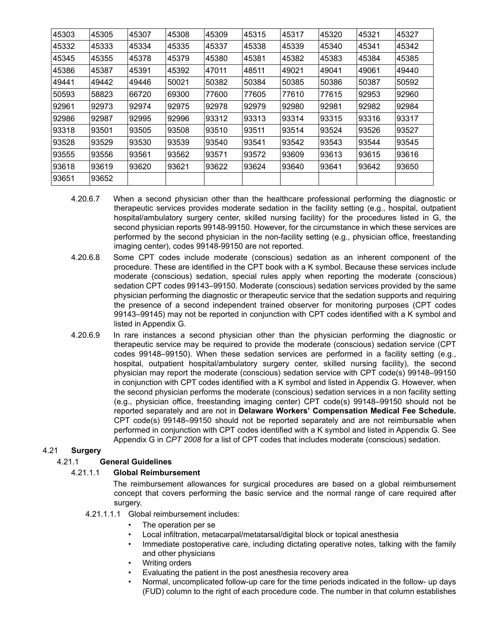| 45303 | 45305 | 45307 | 45308 | 45309 | 45315 | 45317 | 45320 | 45321 | 45327 |
|-------|-------|-------|-------|-------|-------|-------|-------|-------|-------|
| 45332 | 45333 | 45334 | 45335 | 45337 | 45338 | 45339 | 45340 | 45341 | 45342 |
| 45345 | 45355 | 45378 | 45379 | 45380 | 45381 | 45382 | 45383 | 45384 | 45385 |
| 45386 | 45387 | 45391 | 45392 | 47011 | 48511 | 49021 | 49041 | 49061 | 49440 |
| 49441 | 49442 | 49446 | 50021 | 50382 | 50384 | 50385 | 50386 | 50387 | 50592 |
| 50593 | 58823 | 66720 | 69300 | 77600 | 77605 | 77610 | 77615 | 92953 | 92960 |
| 92961 | 92973 | 92974 | 92975 | 92978 | 92979 | 92980 | 92981 | 92982 | 92984 |
| 92986 | 92987 | 92995 | 92996 | 93312 | 93313 | 93314 | 93315 | 93316 | 93317 |
| 93318 | 93501 | 93505 | 93508 | 93510 | 93511 | 93514 | 93524 | 93526 | 93527 |
| 93528 | 93529 | 93530 | 93539 | 93540 | 93541 | 93542 | 93543 | 93544 | 93545 |
| 93555 | 93556 | 93561 | 93562 | 93571 | 93572 | 93609 | 93613 | 93615 | 93616 |
| 93618 | 93619 | 93620 | 93621 | 93622 | 93624 | 93640 | 93641 | 93642 | 93650 |
| 93651 | 93652 |       |       |       |       |       |       |       |       |
|       |       |       |       |       |       |       |       |       |       |

- 4.20.6.7 When a second physician other than the healthcare professional performing the diagnostic or therapeutic services provides moderate sedation in the facility setting (e.g., hospital, outpatient hospital/ambulatory surgery center, skilled nursing facility) for the procedures listed in G, the second physician reports 99148-99150. However, for the circumstance in which these services are performed by the second physician in the non-facility setting (e.g., physician office, freestanding imaging center), codes 99148-99150 are not reported.
- 4.20.6.8 Some CPT codes include moderate (conscious) sedation as an inherent component of the procedure. These are identified in the CPT book with a K symbol. Because these services include moderate (conscious) sedation, special rules apply when reporting the moderate (conscious) sedation CPT codes 99143–99150. Moderate (conscious) sedation services provided by the same physician performing the diagnostic or therapeutic service that the sedation supports and requiring the presence of a second independent trained observer for monitoring purposes (CPT codes 99143–99145) may not be reported in conjunction with CPT codes identified with a K symbol and listed in Appendix G.
- 4.20.6.9 In rare instances a second physician other than the physician performing the diagnostic or therapeutic service may be required to provide the moderate (conscious) sedation service (CPT codes 99148–99150). When these sedation services are performed in a facility setting (e.g., hospital, outpatient hospital/ambulatory surgery center, skilled nursing facility), the second physician may report the moderate (conscious) sedation service with CPT code(s) 99148–99150 in conjunction with CPT codes identified with a K symbol and listed in Appendix G. However, when the second physician performs the moderate (conscious) sedation services in a non facility setting (e.g., physician office, freestanding imaging center) CPT code(s) 99148–99150 should not be reported separately and are not in **Delaware Workers' Compensation Medical Fee Schedule.** CPT code(s) 99148–99150 should not be reported separately and are not reimbursable when performed in conjunction with CPT codes identified with a K symbol and listed in Appendix G. See Appendix G in *CPT 2008* for a list of CPT codes that includes moderate (conscious) sedation.

# 4.21 **Surgery**

# 4.21.1 **General Guidelines**

### 4.21.1.1 **Global Reimbursement**

The reimbursement allowances for surgical procedures are based on a global reimbursement concept that covers performing the basic service and the normal range of care required after surgery.

- 4.21.1.1.1 Global reimbursement includes:
	- The operation per se
	- Local infiltration, metacarpal/metatarsal/digital block or topical anesthesia
	- Immediate postoperative care, including dictating operative notes, talking with the family and other physicians
	- Writing orders
	- Evaluating the patient in the post anesthesia recovery area
	- Normal, uncomplicated follow-up care for the time periods indicated in the follow- up days (FUD) column to the right of each procedure code. The number in that column establishes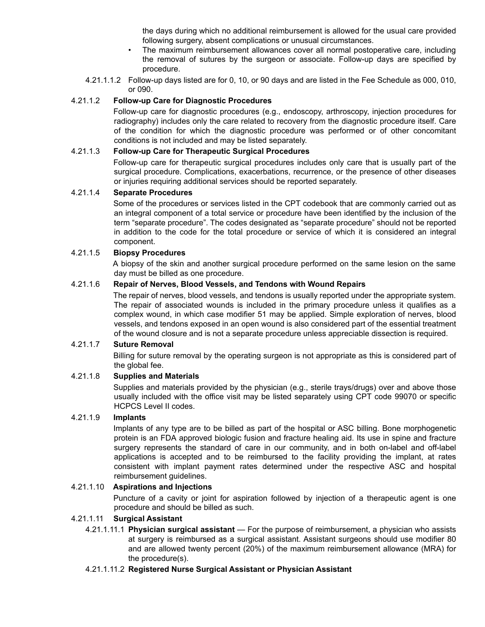the days during which no additional reimbursement is allowed for the usual care provided following surgery, absent complications or unusual circumstances.

- The maximum reimbursement allowances cover all normal postoperative care, including the removal of sutures by the surgeon or associate. Follow-up days are specified by procedure.
- 4.21.1.1.2 Follow-up days listed are for 0, 10, or 90 days and are listed in the Fee Schedule as 000, 010, or 090.

### 4.21.1.2 **Follow-up Care for Diagnostic Procedures**

Follow-up care for diagnostic procedures (e.g., endoscopy, arthroscopy, injection procedures for radiography) includes only the care related to recovery from the diagnostic procedure itself. Care of the condition for which the diagnostic procedure was performed or of other concomitant conditions is not included and may be listed separately.

#### 4.21.1.3 **Follow-up Care for Therapeutic Surgical Procedures**

Follow-up care for therapeutic surgical procedures includes only care that is usually part of the surgical procedure. Complications, exacerbations, recurrence, or the presence of other diseases or injuries requiring additional services should be reported separately.

#### 4.21.1.4 **Separate Procedures**

Some of the procedures or services listed in the CPT codebook that are commonly carried out as an integral component of a total service or procedure have been identified by the inclusion of the term "separate procedure". The codes designated as "separate procedure" should not be reported in addition to the code for the total procedure or service of which it is considered an integral component.

#### 4.21.1.5 **Biopsy Procedures**

A biopsy of the skin and another surgical procedure performed on the same lesion on the same day must be billed as one procedure.

### 4.21.1.6 **Repair of Nerves, Blood Vessels, and Tendons with Wound Repairs**

The repair of nerves, blood vessels, and tendons is usually reported under the appropriate system. The repair of associated wounds is included in the primary procedure unless it qualifies as a complex wound, in which case modifier 51 may be applied. Simple exploration of nerves, blood vessels, and tendons exposed in an open wound is also considered part of the essential treatment of the wound closure and is not a separate procedure unless appreciable dissection is required.

#### 4.21.1.7 **Suture Removal**

Billing for suture removal by the operating surgeon is not appropriate as this is considered part of the global fee.

### 4.21.1.8 **Supplies and Materials**

Supplies and materials provided by the physician (e.g., sterile trays/drugs) over and above those usually included with the office visit may be listed separately using CPT code 99070 or specific HCPCS Level II codes.

#### 4.21.1.9 **Implants**

Implants of any type are to be billed as part of the hospital or ASC billing. Bone morphogenetic protein is an FDA approved biologic fusion and fracture healing aid. Its use in spine and fracture surgery represents the standard of care in our community, and in both on-label and off-label applications is accepted and to be reimbursed to the facility providing the implant, at rates consistent with implant payment rates determined under the respective ASC and hospital reimbursement guidelines.

#### 4.21.1.10 **Aspirations and Injections**

Puncture of a cavity or joint for aspiration followed by injection of a therapeutic agent is one procedure and should be billed as such.

#### 4.21.1.11 **Surgical Assistant**

4.21.1.11.1 **Physician surgical assistant** — For the purpose of reimbursement, a physician who assists at surgery is reimbursed as a surgical assistant. Assistant surgeons should use modifier 80 and are allowed twenty percent (20%) of the maximum reimbursement allowance (MRA) for the procedure(s).

#### 4.21.1.11.2 **Registered Nurse Surgical Assistant or Physician Assistant**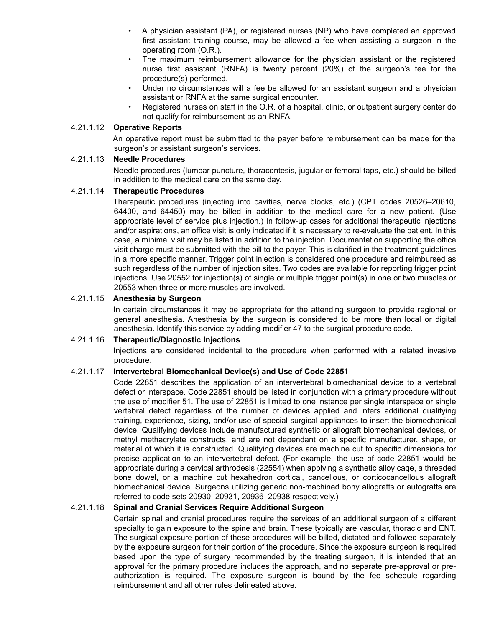- A physician assistant (PA), or registered nurses (NP) who have completed an approved first assistant training course, may be allowed a fee when assisting a surgeon in the operating room (O.R.).
- The maximum reimbursement allowance for the physician assistant or the registered nurse first assistant (RNFA) is twenty percent (20%) of the surgeon's fee for the procedure(s) performed.
- Under no circumstances will a fee be allowed for an assistant surgeon and a physician assistant or RNFA at the same surgical encounter.
- Registered nurses on staff in the O.R. of a hospital, clinic, or outpatient surgery center do not qualify for reimbursement as an RNFA.

#### 4.21.1.12 **Operative Reports**

An operative report must be submitted to the payer before reimbursement can be made for the surgeon's or assistant surgeon's services.

#### 4.21.1.13 **Needle Procedures**

Needle procedures (lumbar puncture, thoracentesis, jugular or femoral taps, etc.) should be billed in addition to the medical care on the same day.

#### 4.21.1.14 **Therapeutic Procedures**

Therapeutic procedures (injecting into cavities, nerve blocks, etc.) (CPT codes 20526–20610, 64400, and 64450) may be billed in addition to the medical care for a new patient. (Use appropriate level of service plus injection.) In follow-up cases for additional therapeutic injections and/or aspirations, an office visit is only indicated if it is necessary to re-evaluate the patient. In this case, a minimal visit may be listed in addition to the injection. Documentation supporting the office visit charge must be submitted with the bill to the payer. This is clarified in the treatment guidelines in a more specific manner. Trigger point injection is considered one procedure and reimbursed as such regardless of the number of injection sites. Two codes are available for reporting trigger point injections. Use 20552 for injection(s) of single or multiple trigger point(s) in one or two muscles or 20553 when three or more muscles are involved.

#### 4.21.1.15 **Anesthesia by Surgeon**

In certain circumstances it may be appropriate for the attending surgeon to provide regional or general anesthesia. Anesthesia by the surgeon is considered to be more than local or digital anesthesia. Identify this service by adding modifier 47 to the surgical procedure code.

#### 4.21.1.16 **Therapeutic/Diagnostic Injections**

Injections are considered incidental to the procedure when performed with a related invasive procedure.

### 4.21.1.17 **Intervertebral Biomechanical Device(s) and Use of Code 22851**

Code 22851 describes the application of an intervertebral biomechanical device to a vertebral defect or interspace. Code 22851 should be listed in conjunction with a primary procedure without the use of modifier 51. The use of 22851 is limited to one instance per single interspace or single vertebral defect regardless of the number of devices applied and infers additional qualifying training, experience, sizing, and/or use of special surgical appliances to insert the biomechanical device. Qualifying devices include manufactured synthetic or allograft biomechanical devices, or methyl methacrylate constructs, and are not dependant on a specific manufacturer, shape, or material of which it is constructed. Qualifying devices are machine cut to specific dimensions for precise application to an intervertebral defect. (For example, the use of code 22851 would be appropriate during a cervical arthrodesis (22554) when applying a synthetic alloy cage, a threaded bone dowel, or a machine cut hexahedron cortical, cancellous, or corticocancellous allograft biomechanical device. Surgeons utilizing generic non-machined bony allografts or autografts are referred to code sets 20930–20931, 20936–20938 respectively.)

### 4.21.1.18 **Spinal and Cranial Services Require Additional Surgeon**

Certain spinal and cranial procedures require the services of an additional surgeon of a different specialty to gain exposure to the spine and brain. These typically are vascular, thoracic and ENT. The surgical exposure portion of these procedures will be billed, dictated and followed separately by the exposure surgeon for their portion of the procedure. Since the exposure surgeon is required based upon the type of surgery recommended by the treating surgeon, it is intended that an approval for the primary procedure includes the approach, and no separate pre-approval or preauthorization is required. The exposure surgeon is bound by the fee schedule regarding reimbursement and all other rules delineated above.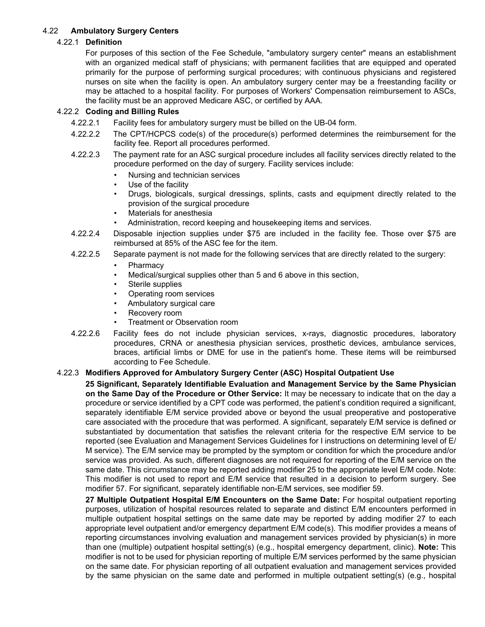### 4.22 **Ambulatory Surgery Centers**

### 4.22.1 **Definition**

For purposes of this section of the Fee Schedule, "ambulatory surgery center" means an establishment with an organized medical staff of physicians; with permanent facilities that are equipped and operated primarily for the purpose of performing surgical procedures; with continuous physicians and registered nurses on site when the facility is open. An ambulatory surgery center may be a freestanding facility or may be attached to a hospital facility. For purposes of Workers' Compensation reimbursement to ASCs, the facility must be an approved Medicare ASC, or certified by AAA.

### 4.22.2 **Coding and Billing Rules**

- 4.22.2.1 Facility fees for ambulatory surgery must be billed on the UB-04 form.
- 4.22.2.2 The CPT/HCPCS code(s) of the procedure(s) performed determines the reimbursement for the facility fee. Report all procedures performed.
- 4.22.2.3 The payment rate for an ASC surgical procedure includes all facility services directly related to the procedure performed on the day of surgery. Facility services include:
	- Nursing and technician services
	- Use of the facility
	- Drugs, biologicals, surgical dressings, splints, casts and equipment directly related to the provision of the surgical procedure
	- Materials for anesthesia
	- Administration, record keeping and housekeeping items and services.
- 4.22.2.4 Disposable injection supplies under \$75 are included in the facility fee. Those over \$75 are reimbursed at 85% of the ASC fee for the item.
- 4.22.2.5 Separate payment is not made for the following services that are directly related to the surgery:
	- **Pharmacy**
	- Medical/surgical supplies other than 5 and 6 above in this section,
	- Sterile supplies
	- Operating room services
	- Ambulatory surgical care
	- Recovery room
	- Treatment or Observation room
- 4.22.2.6 Facility fees do not include physician services, x-rays, diagnostic procedures, laboratory procedures, CRNA or anesthesia physician services, prosthetic devices, ambulance services, braces, artificial limbs or DME for use in the patient's home. These items will be reimbursed according to Fee Schedule.

### 4.22.3 **Modifiers Approved for Ambulatory Surgery Center (ASC) Hospital Outpatient Use**

**25 Significant, Separately Identifiable Evaluation and Management Service by the Same Physician on the Same Day of the Procedure or Other Service:** It may be necessary to indicate that on the day a procedure or service identified by a CPT code was performed, the patient's condition required a significant, separately identifiable E/M service provided above or beyond the usual preoperative and postoperative care associated with the procedure that was performed. A significant, separately E/M service is defined or substantiated by documentation that satisfies the relevant criteria for the respective E/M service to be reported (see Evaluation and Management Services Guidelines for I instructions on determining level of E/ M service). The E/M service may be prompted by the symptom or condition for which the procedure and/or service was provided. As such, different diagnoses are not required for reporting of the E/M service on the same date. This circumstance may be reported adding modifier 25 to the appropriate level E/M code. Note: This modifier is not used to report and E/M service that resulted in a decision to perform surgery. See modifier 57. For significant, separately identifiable non-E/M services, see modifier 59.

**27 Multiple Outpatient Hospital E/M Encounters on the Same Date:** For hospital outpatient reporting purposes, utilization of hospital resources related to separate and distinct E/M encounters performed in multiple outpatient hospital settings on the same date may be reported by adding modifier 27 to each appropriate level outpatient and/or emergency department E/M code(s). This modifier provides a means of reporting circumstances involving evaluation and management services provided by physician(s) in more than one (multiple) outpatient hospital setting(s) (e.g., hospital emergency department, clinic). **Note:** This modifier is not to be used for physician reporting of multiple E/M services performed by the same physician on the same date. For physician reporting of all outpatient evaluation and management services provided by the same physician on the same date and performed in multiple outpatient setting(s) (e.g., hospital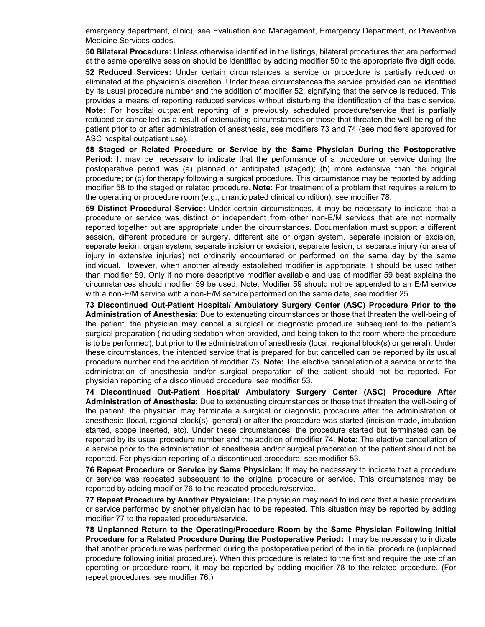emergency department, clinic), see Evaluation and Management, Emergency Department, or Preventive Medicine Services codes.

**50 Bilateral Procedure:** Unless otherwise identified in the listings, bilateral procedures that are performed at the same operative session should be identified by adding modifier 50 to the appropriate five digit code. **52 Reduced Services:** Under certain circumstances a service or procedure is partially reduced or eliminated at the physician's discretion. Under these circumstances the service provided can be identified by its usual procedure number and the addition of modifier 52, signifying that the service is reduced. This provides a means of reporting reduced services without disturbing the identification of the basic service. **Note:** For hospital outpatient reporting of a previously scheduled procedure/service that is partially reduced or cancelled as a result of extenuating circumstances or those that threaten the well-being of the patient prior to or after administration of anesthesia, see modifiers 73 and 74 (see modifiers approved for ASC hospital outpatient use).

**58 Staged or Related Procedure or Service by the Same Physician During the Postoperative** Period: It may be necessary to indicate that the performance of a procedure or service during the postoperative period was (a) planned or anticipated (staged); (b) more extensive than the original procedure; or (c) for therapy following a surgical procedure. This circumstance may be reported by adding modifier 58 to the staged or related procedure. **Note:** For treatment of a problem that requires a return to the operating or procedure room (e.g., unanticipated clinical condition), see modifier 78.

**59 Distinct Procedural Service:** Under certain circumstances, it may be necessary to indicate that a procedure or service was distinct or independent from other non-E/M services that are not normally reported together but are appropriate under the circumstances. Documentation must support a different session, different procedure or surgery, different site or organ system, separate incision or excision, separate lesion, organ system, separate incision or excision, separate lesion, or separate injury (or area of injury in extensive injuries) not ordinarily encountered or performed on the same day by the same individual. However, when another already established modifier is appropriate it should be used rather than modifier 59. Only if no more descriptive modifier available and use of modifier 59 best explains the circumstances should modifier 59 be used. Note: Modifier 59 should not be appended to an E/M service with a non-E/M service with a non-E/M service performed on the same date, see modifier 25.

**73 Discontinued Out-Patient Hospital/ Ambulatory Surgery Center (ASC) Procedure Prior to the Administration of Anesthesia:** Due to extenuating circumstances or those that threaten the well-being of the patient, the physician may cancel a surgical or diagnostic procedure subsequent to the patient's surgical preparation (including sedation when provided, and being taken to the room where the procedure is to be performed), but prior to the administration of anesthesia (local, regional block(s) or general). Under these circumstances, the intended service that is prepared for but cancelled can be reported by its usual procedure number and the addition of modifier 73. **Note:** The elective cancellation of a service prior to the administration of anesthesia and/or surgical preparation of the patient should not be reported. For physician reporting of a discontinued procedure, see modifier 53.

**74 Discontinued Out-Patient Hospital/ Ambulatory Surgery Center (ASC) Procedure After Administration of Anesthesia:** Due to extenuating circumstances or those that threaten the well-being of the patient, the physician may terminate a surgical or diagnostic procedure after the administration of anesthesia (local, regional block(s), general) or after the procedure was started (incision made, intubation started, scope inserted, etc). Under these circumstances, the procedure started but terminated can be reported by its usual procedure number and the addition of modifier 74. **Note:** The elective cancellation of a service prior to the administration of anesthesia and/or surgical preparation of the patient should not be reported. For physician reporting of a discontinued procedure, see modifier 53.

**76 Repeat Procedure or Service by Same Physician:** It may be necessary to indicate that a procedure or service was repeated subsequent to the original procedure or service. This circumstance may be reported by adding modifier 76 to the repeated procedure/service.

**77 Repeat Procedure by Another Physician:** The physician may need to indicate that a basic procedure or service performed by another physician had to be repeated. This situation may be reported by adding modifier 77 to the repeated procedure/service.

**78 Unplanned Return to the Operating/Procedure Room by the Same Physician Following Initial Procedure for a Related Procedure During the Postoperative Period:** It may be necessary to indicate that another procedure was performed during the postoperative period of the initial procedure (unplanned procedure following initial procedure). When this procedure is related to the first and require the use of an operating or procedure room, it may be reported by adding modifier 78 to the related procedure. (For repeat procedures, see modifier 76.)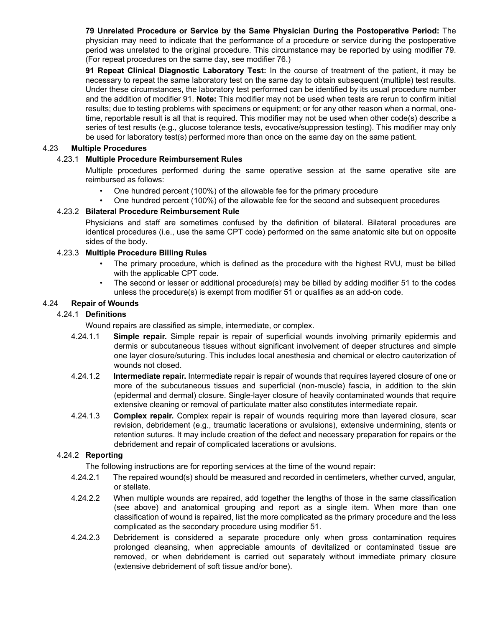**79 Unrelated Procedure or Service by the Same Physician During the Postoperative Period:** The physician may need to indicate that the performance of a procedure or service during the postoperative period was unrelated to the original procedure. This circumstance may be reported by using modifier 79. (For repeat procedures on the same day, see modifier 76.)

**91 Repeat Clinical Diagnostic Laboratory Test:** In the course of treatment of the patient, it may be necessary to repeat the same laboratory test on the same day to obtain subsequent (multiple) test results. Under these circumstances, the laboratory test performed can be identified by its usual procedure number and the addition of modifier 91. **Note:** This modifier may not be used when tests are rerun to confirm initial results; due to testing problems with specimens or equipment; or for any other reason when a normal, onetime, reportable result is all that is required. This modifier may not be used when other code(s) describe a series of test results (e.g., glucose tolerance tests, evocative/suppression testing). This modifier may only be used for laboratory test(s) performed more than once on the same day on the same patient.

### 4.23 **Multiple Procedures**

### 4.23.1 **Multiple Procedure Reimbursement Rules**

Multiple procedures performed during the same operative session at the same operative site are reimbursed as follows:

- One hundred percent (100%) of the allowable fee for the primary procedure
- One hundred percent (100%) of the allowable fee for the second and subsequent procedures

### 4.23.2 **Bilateral Procedure Reimbursement Rule**

Physicians and staff are sometimes confused by the definition of bilateral. Bilateral procedures are identical procedures (i.e., use the same CPT code) performed on the same anatomic site but on opposite sides of the body.

### 4.23.3 **Multiple Procedure Billing Rules**

- The primary procedure, which is defined as the procedure with the highest RVU, must be billed with the applicable CPT code.
- The second or lesser or additional procedure(s) may be billed by adding modifier 51 to the codes unless the procedure(s) is exempt from modifier 51 or qualifies as an add-on code.

#### 4.24 **Repair of Wounds**

#### 4.24.1 **Definitions**

Wound repairs are classified as simple, intermediate, or complex.

- 4.24.1.1 **Simple repair.** Simple repair is repair of superficial wounds involving primarily epidermis and dermis or subcutaneous tissues without significant involvement of deeper structures and simple one layer closure/suturing. This includes local anesthesia and chemical or electro cauterization of wounds not closed.
- 4.24.1.2 **Intermediate repair.** Intermediate repair is repair of wounds that requires layered closure of one or more of the subcutaneous tissues and superficial (non-muscle) fascia, in addition to the skin (epidermal and dermal) closure. Single-layer closure of heavily contaminated wounds that require extensive cleaning or removal of particulate matter also constitutes intermediate repair.
- 4.24.1.3 **Complex repair.** Complex repair is repair of wounds requiring more than layered closure, scar revision, debridement (e.g., traumatic lacerations or avulsions), extensive undermining, stents or retention sutures. It may include creation of the defect and necessary preparation for repairs or the debridement and repair of complicated lacerations or avulsions.

### 4.24.2 **Reporting**

The following instructions are for reporting services at the time of the wound repair:

- 4.24.2.1 The repaired wound(s) should be measured and recorded in centimeters, whether curved, angular, or stellate.
- 4.24.2.2 When multiple wounds are repaired, add together the lengths of those in the same classification (see above) and anatomical grouping and report as a single item. When more than one classification of wound is repaired, list the more complicated as the primary procedure and the less complicated as the secondary procedure using modifier 51.
- 4.24.2.3 Debridement is considered a separate procedure only when gross contamination requires prolonged cleansing, when appreciable amounts of devitalized or contaminated tissue are removed, or when debridement is carried out separately without immediate primary closure (extensive debridement of soft tissue and/or bone).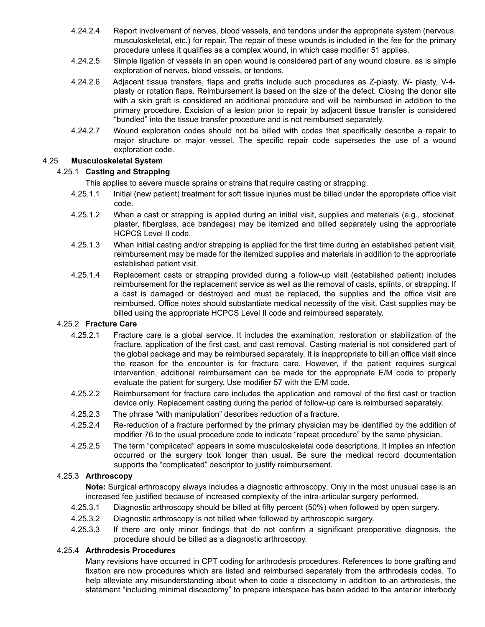- 4.24.2.4 Report involvement of nerves, blood vessels, and tendons under the appropriate system (nervous, musculoskeletal, etc.) for repair. The repair of these wounds is included in the fee for the primary procedure unless it qualifies as a complex wound, in which case modifier 51 applies.
- 4.24.2.5 Simple ligation of vessels in an open wound is considered part of any wound closure, as is simple exploration of nerves, blood vessels, or tendons.
- 4.24.2.6 Adjacent tissue transfers, flaps and grafts include such procedures as Z-plasty, W- plasty, V-4 plasty or rotation flaps. Reimbursement is based on the size of the defect. Closing the donor site with a skin graft is considered an additional procedure and will be reimbursed in addition to the primary procedure. Excision of a lesion prior to repair by adjacent tissue transfer is considered "bundled" into the tissue transfer procedure and is not reimbursed separately.
- 4.24.2.7 Wound exploration codes should not be billed with codes that specifically describe a repair to major structure or major vessel. The specific repair code supersedes the use of a wound exploration code.

### 4.25 **Musculoskeletal System**

### 4.25.1 **Casting and Strapping**

This applies to severe muscle sprains or strains that require casting or strapping.

- 4.25.1.1 Initial (new patient) treatment for soft tissue injuries must be billed under the appropriate office visit code.
- 4.25.1.2 When a cast or strapping is applied during an initial visit, supplies and materials (e.g., stockinet, plaster, fiberglass, ace bandages) may be itemized and billed separately using the appropriate HCPCS Level II code.
- 4.25.1.3 When initial casting and/or strapping is applied for the first time during an established patient visit, reimbursement may be made for the itemized supplies and materials in addition to the appropriate established patient visit.
- 4.25.1.4 Replacement casts or strapping provided during a follow-up visit (established patient) includes reimbursement for the replacement service as well as the removal of casts, splints, or strapping. If a cast is damaged or destroyed and must be replaced, the supplies and the office visit are reimbursed. Office notes should substantiate medical necessity of the visit. Cast supplies may be billed using the appropriate HCPCS Level II code and reimbursed separately.

### 4.25.2 **Fracture Care**

- 4.25.2.1 Fracture care is a global service. It includes the examination, restoration or stabilization of the fracture, application of the first cast, and cast removal. Casting material is not considered part of the global package and may be reimbursed separately. It is inappropriate to bill an office visit since the reason for the encounter is for fracture care. However, if the patient requires surgical intervention, additional reimbursement can be made for the appropriate E/M code to properly evaluate the patient for surgery. Use modifier 57 with the E/M code.
- 4.25.2.2 Reimbursement for fracture care includes the application and removal of the first cast or traction device only. Replacement casting during the period of follow-up care is reimbursed separately.
- 4.25.2.3 The phrase "with manipulation" describes reduction of a fracture.
- 4.25.2.4 Re-reduction of a fracture performed by the primary physician may be identified by the addition of modifier 76 to the usual procedure code to indicate "repeat procedure" by the same physician.
- 4.25.2.5 The term "complicated" appears in some musculoskeletal code descriptions. It implies an infection occurred or the surgery took longer than usual. Be sure the medical record documentation supports the "complicated" descriptor to justify reimbursement.

### 4.25.3 **Arthroscopy**

**Note:** Surgical arthroscopy always includes a diagnostic arthroscopy. Only in the most unusual case is an increased fee justified because of increased complexity of the intra-articular surgery performed.

- 4.25.3.1 Diagnostic arthroscopy should be billed at fifty percent (50%) when followed by open surgery.
- 4.25.3.2 Diagnostic arthroscopy is not billed when followed by arthroscopic surgery.
- 4.25.3.3 If there are only minor findings that do not confirm a significant preoperative diagnosis, the procedure should be billed as a diagnostic arthroscopy.

### 4.25.4 **Arthrodesis Procedures**

Many revisions have occurred in CPT coding for arthrodesis procedures. References to bone grafting and fixation are now procedures which are listed and reimbursed separately from the arthrodesis codes. To help alleviate any misunderstanding about when to code a discectomy in addition to an arthrodesis, the statement "including minimal discectomy" to prepare interspace has been added to the anterior interbody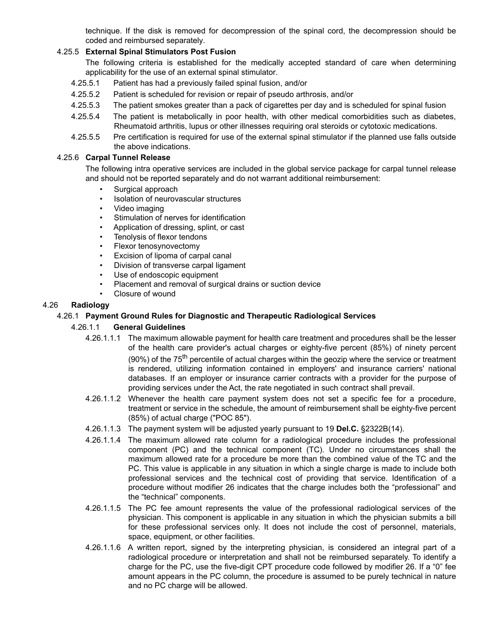technique. If the disk is removed for decompression of the spinal cord, the decompression should be coded and reimbursed separately.

### 4.25.5 **External Spinal Stimulators Post Fusion**

The following criteria is established for the medically accepted standard of care when determining applicability for the use of an external spinal stimulator.

- 4.25.5.1 Patient has had a previously failed spinal fusion, and/or
- 4.25.5.2 Patient is scheduled for revision or repair of pseudo arthrosis, and/or
- 4.25.5.3 The patient smokes greater than a pack of cigarettes per day and is scheduled for spinal fusion
- 4.25.5.4 The patient is metabolically in poor health, with other medical comorbidities such as diabetes, Rheumatoid arthritis, lupus or other illnesses requiring oral steroids or cytotoxic medications.
- 4.25.5.5 Pre certification is required for use of the external spinal stimulator if the planned use falls outside the above indications.

#### 4.25.6 **Carpal Tunnel Release**

The following intra operative services are included in the global service package for carpal tunnel release and should not be reported separately and do not warrant additional reimbursement:

- Surgical approach
- Isolation of neurovascular structures
- Video imaging
- Stimulation of nerves for identification
- Application of dressing, splint, or cast
- Tenolysis of flexor tendons
- Flexor tenosynovectomy
- Excision of lipoma of carpal canal
- Division of transverse carpal ligament
- Use of endoscopic equipment
- Placement and removal of surgical drains or suction device
- Closure of wound

### 4.26 **Radiology**

#### 4.26.1 **Payment Ground Rules for Diagnostic and Therapeutic Radiological Services**

#### 4.26.1.1 **General Guidelines**

- 4.26.1.1.1 The maximum allowable payment for health care treatment and procedures shall be the lesser of the health care provider's actual charges or eighty-five percent (85%) of ninety percent (90%) of the  $75<sup>th</sup>$  percentile of actual charges within the geozip where the service or treatment is rendered, utilizing information contained in employers' and insurance carriers' national databases. If an employer or insurance carrier contracts with a provider for the purpose of providing services under the Act, the rate negotiated in such contract shall prevail.
- 4.26.1.1.2 Whenever the health care payment system does not set a specific fee for a procedure, treatment or service in the schedule, the amount of reimbursement shall be eighty-five percent (85%) of actual charge ("POC 85").
- 4.26.1.1.3 The payment system will be adjusted yearly pursuant to 19 **Del.C.** §2322B(14).
- 4.26.1.1.4 The maximum allowed rate column for a radiological procedure includes the professional component (PC) and the technical component (TC). Under no circumstances shall the maximum allowed rate for a procedure be more than the combined value of the TC and the PC. This value is applicable in any situation in which a single charge is made to include both professional services and the technical cost of providing that service. Identification of a procedure without modifier 26 indicates that the charge includes both the "professional" and the "technical" components.
- 4.26.1.1.5 The PC fee amount represents the value of the professional radiological services of the physician. This component is applicable in any situation in which the physician submits a bill for these professional services only. It does not include the cost of personnel, materials, space, equipment, or other facilities.
- 4.26.1.1.6 A written report, signed by the interpreting physician, is considered an integral part of a radiological procedure or interpretation and shall not be reimbursed separately. To identify a charge for the PC, use the five-digit CPT procedure code followed by modifier 26. If a "0" fee amount appears in the PC column, the procedure is assumed to be purely technical in nature and no PC charge will be allowed.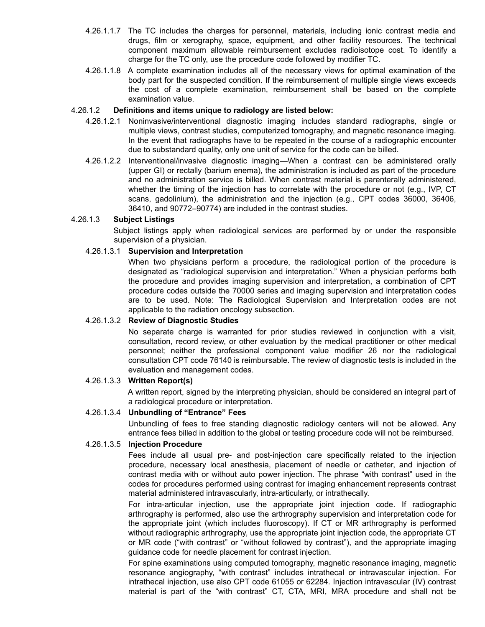- 4.26.1.1.7 The TC includes the charges for personnel, materials, including ionic contrast media and drugs, film or xerography, space, equipment, and other facility resources. The technical component maximum allowable reimbursement excludes radioisotope cost. To identify a charge for the TC only, use the procedure code followed by modifier TC.
- 4.26.1.1.8 A complete examination includes all of the necessary views for optimal examination of the body part for the suspected condition. If the reimbursement of multiple single views exceeds the cost of a complete examination, reimbursement shall be based on the complete examination value.

#### 4.26.1.2 **Definitions and items unique to radiology are listed below:**

- 4.26.1.2.1 Noninvasive/interventional diagnostic imaging includes standard radiographs, single or multiple views, contrast studies, computerized tomography, and magnetic resonance imaging. In the event that radiographs have to be repeated in the course of a radiographic encounter due to substandard quality, only one unit of service for the code can be billed.
- 4.26.1.2.2 Interventional/invasive diagnostic imaging—When a contrast can be administered orally (upper GI) or rectally (barium enema), the administration is included as part of the procedure and no administration service is billed. When contrast material is parenterally administered, whether the timing of the injection has to correlate with the procedure or not (e.g., IVP, CT scans, gadolinium), the administration and the injection (e.g., CPT codes 36000, 36406, 36410, and 90772–90774) are included in the contrast studies.

#### 4.26.1.3 **Subject Listings**

Subject listings apply when radiological services are performed by or under the responsible supervision of a physician.

#### 4.26.1.3.1 **Supervision and Interpretation**

When two physicians perform a procedure, the radiological portion of the procedure is designated as "radiological supervision and interpretation." When a physician performs both the procedure and provides imaging supervision and interpretation, a combination of CPT procedure codes outside the 70000 series and imaging supervision and interpretation codes are to be used. Note: The Radiological Supervision and Interpretation codes are not applicable to the radiation oncology subsection.

#### 4.26.1.3.2 **Review of Diagnostic Studies**

No separate charge is warranted for prior studies reviewed in conjunction with a visit, consultation, record review, or other evaluation by the medical practitioner or other medical personnel; neither the professional component value modifier 26 nor the radiological consultation CPT code 76140 is reimbursable. The review of diagnostic tests is included in the evaluation and management codes.

#### 4.26.1.3.3 **Written Report(s)**

A written report, signed by the interpreting physician, should be considered an integral part of a radiological procedure or interpretation.

### 4.26.1.3.4 **Unbundling of "Entrance" Fees**

Unbundling of fees to free standing diagnostic radiology centers will not be allowed. Any entrance fees billed in addition to the global or testing procedure code will not be reimbursed.

#### 4.26.1.3.5 **Injection Procedure**

Fees include all usual pre- and post-injection care specifically related to the injection procedure, necessary local anesthesia, placement of needle or catheter, and injection of contrast media with or without auto power injection. The phrase "with contrast" used in the codes for procedures performed using contrast for imaging enhancement represents contrast material administered intravascularly, intra-articularly, or intrathecally.

For intra-articular injection, use the appropriate joint injection code. If radiographic arthrography is performed, also use the arthrography supervision and interpretation code for the appropriate joint (which includes fluoroscopy). If CT or MR arthrography is performed without radiographic arthrography, use the appropriate joint injection code, the appropriate CT or MR code ("with contrast" or "without followed by contrast"), and the appropriate imaging guidance code for needle placement for contrast injection.

For spine examinations using computed tomography, magnetic resonance imaging, magnetic resonance angiography, "with contrast" includes intrathecal or intravascular injection. For intrathecal injection, use also CPT code 61055 or 62284. Injection intravascular (IV) contrast material is part of the "with contrast" CT, CTA, MRI, MRA procedure and shall not be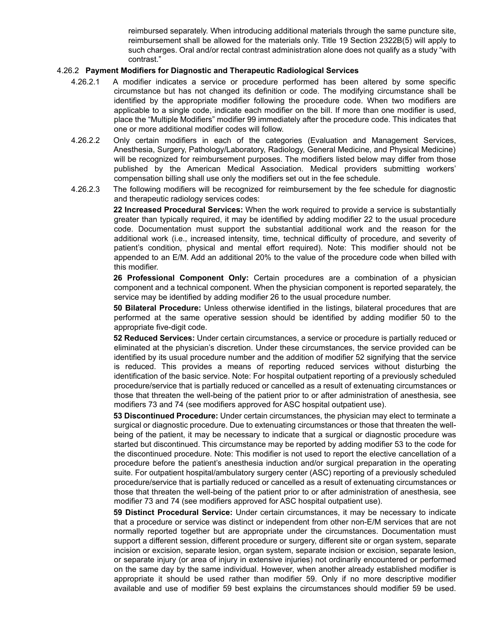reimbursed separately. When introducing additional materials through the same puncture site, reimbursement shall be allowed for the materials only. Title 19 Section 2322B(5) will apply to such charges. Oral and/or rectal contrast administration alone does not qualify as a study "with contrast."

#### 4.26.2 **Payment Modifiers for Diagnostic and Therapeutic Radiological Services**

- 4.26.2.1 A modifier indicates a service or procedure performed has been altered by some specific circumstance but has not changed its definition or code. The modifying circumstance shall be identified by the appropriate modifier following the procedure code. When two modifiers are applicable to a single code, indicate each modifier on the bill. If more than one modifier is used, place the "Multiple Modifiers" modifier 99 immediately after the procedure code. This indicates that one or more additional modifier codes will follow.
- 4.26.2.2 Only certain modifiers in each of the categories (Evaluation and Management Services, Anesthesia, Surgery, Pathology/Laboratory, Radiology, General Medicine, and Physical Medicine) will be recognized for reimbursement purposes. The modifiers listed below may differ from those published by the American Medical Association. Medical providers submitting workers' compensation billing shall use only the modifiers set out in the fee schedule.
- 4.26.2.3 The following modifiers will be recognized for reimbursement by the fee schedule for diagnostic and therapeutic radiology services codes:

**22 Increased Procedural Services:** When the work required to provide a service is substantially greater than typically required, it may be identified by adding modifier 22 to the usual procedure code. Documentation must support the substantial additional work and the reason for the additional work (i.e., increased intensity, time, technical difficulty of procedure, and severity of patient's condition, physical and mental effort required). Note: This modifier should not be appended to an E/M. Add an additional 20% to the value of the procedure code when billed with this modifier.

**26 Professional Component Only:** Certain procedures are a combination of a physician component and a technical component. When the physician component is reported separately, the service may be identified by adding modifier 26 to the usual procedure number.

**50 Bilateral Procedure:** Unless otherwise identified in the listings, bilateral procedures that are performed at the same operative session should be identified by adding modifier 50 to the appropriate five-digit code.

**52 Reduced Services:** Under certain circumstances, a service or procedure is partially reduced or eliminated at the physician's discretion. Under these circumstances, the service provided can be identified by its usual procedure number and the addition of modifier 52 signifying that the service is reduced. This provides a means of reporting reduced services without disturbing the identification of the basic service. Note: For hospital outpatient reporting of a previously scheduled procedure/service that is partially reduced or cancelled as a result of extenuating circumstances or those that threaten the well-being of the patient prior to or after administration of anesthesia, see modifiers 73 and 74 (see modifiers approved for ASC hospital outpatient use).

**53 Discontinued Procedure:** Under certain circumstances, the physician may elect to terminate a surgical or diagnostic procedure. Due to extenuating circumstances or those that threaten the wellbeing of the patient, it may be necessary to indicate that a surgical or diagnostic procedure was started but discontinued. This circumstance may be reported by adding modifier 53 to the code for the discontinued procedure. Note: This modifier is not used to report the elective cancellation of a procedure before the patient's anesthesia induction and/or surgical preparation in the operating suite. For outpatient hospital/ambulatory surgery center (ASC) reporting of a previously scheduled procedure/service that is partially reduced or cancelled as a result of extenuating circumstances or those that threaten the well-being of the patient prior to or after administration of anesthesia, see modifier 73 and 74 (see modifiers approved for ASC hospital outpatient use).

**59 Distinct Procedural Service:** Under certain circumstances, it may be necessary to indicate that a procedure or service was distinct or independent from other non-E/M services that are not normally reported together but are appropriate under the circumstances. Documentation must support a different session, different procedure or surgery, different site or organ system, separate incision or excision, separate lesion, organ system, separate incision or excision, separate lesion, or separate injury (or area of injury in extensive injuries) not ordinarily encountered or performed on the same day by the same individual. However, when another already established modifier is appropriate it should be used rather than modifier 59. Only if no more descriptive modifier available and use of modifier 59 best explains the circumstances should modifier 59 be used.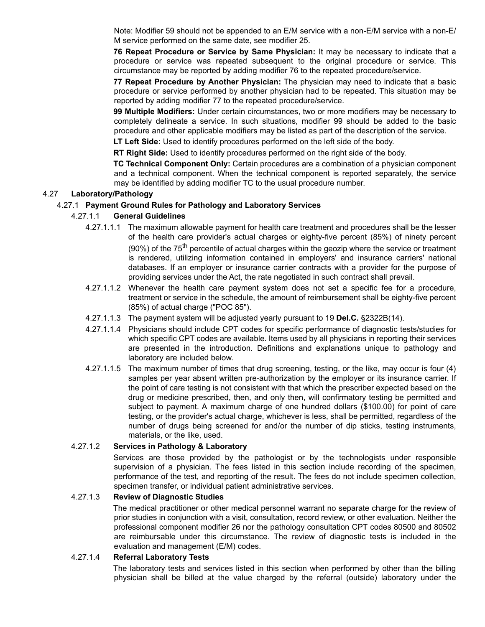Note: Modifier 59 should not be appended to an E/M service with a non-E/M service with a non-E/ M service performed on the same date, see modifier 25.

**76 Repeat Procedure or Service by Same Physician:** It may be necessary to indicate that a procedure or service was repeated subsequent to the original procedure or service. This circumstance may be reported by adding modifier 76 to the repeated procedure/service.

**77 Repeat Procedure by Another Physician:** The physician may need to indicate that a basic procedure or service performed by another physician had to be repeated. This situation may be reported by adding modifier 77 to the repeated procedure/service.

**99 Multiple Modifiers:** Under certain circumstances, two or more modifiers may be necessary to completely delineate a service. In such situations, modifier 99 should be added to the basic procedure and other applicable modifiers may be listed as part of the description of the service.

**LT Left Side:** Used to identify procedures performed on the left side of the body.

**RT Right Side:** Used to identify procedures performed on the right side of the body.

**TC Technical Component Only:** Certain procedures are a combination of a physician component and a technical component. When the technical component is reported separately, the service may be identified by adding modifier TC to the usual procedure number.

### 4.27 **Laboratory/Pathology**

#### 4.27.1 **Payment Ground Rules for Pathology and Laboratory Services**

#### 4.27.1.1 **General Guidelines**

- 4.27.1.1.1 The maximum allowable payment for health care treatment and procedures shall be the lesser of the health care provider's actual charges or eighty-five percent (85%) of ninety percent (90%) of the  $75<sup>th</sup>$  percentile of actual charges within the geozip where the service or treatment is rendered, utilizing information contained in employers' and insurance carriers' national databases. If an employer or insurance carrier contracts with a provider for the purpose of providing services under the Act, the rate negotiated in such contract shall prevail.
- 4.27.1.1.2 Whenever the health care payment system does not set a specific fee for a procedure, treatment or service in the schedule, the amount of reimbursement shall be eighty-five percent (85%) of actual charge ("POC 85").
- 4.27.1.1.3 The payment system will be adjusted yearly pursuant to 19 **Del.C.** §2322B(14).
- 4.27.1.1.4 Physicians should include CPT codes for specific performance of diagnostic tests/studies for which specific CPT codes are available. Items used by all physicians in reporting their services are presented in the introduction. Definitions and explanations unique to pathology and laboratory are included below.
- 4.27.1.1.5 The maximum number of times that drug screening, testing, or the like, may occur is four (4) samples per year absent written pre-authorization by the employer or its insurance carrier. If the point of care testing is not consistent with that which the prescriber expected based on the drug or medicine prescribed, then, and only then, will confirmatory testing be permitted and subject to payment. A maximum charge of one hundred dollars (\$100.00) for point of care testing, or the provider's actual charge, whichever is less, shall be permitted, regardless of the number of drugs being screened for and/or the number of dip sticks, testing instruments, materials, or the like, used.

#### 4.27.1.2 **Services in Pathology & Laboratory**

Services are those provided by the pathologist or by the technologists under responsible supervision of a physician. The fees listed in this section include recording of the specimen, performance of the test, and reporting of the result. The fees do not include specimen collection, specimen transfer, or individual patient administrative services.

#### 4.27.1.3 **Review of Diagnostic Studies**

The medical practitioner or other medical personnel warrant no separate charge for the review of prior studies in conjunction with a visit, consultation, record review, or other evaluation. Neither the professional component modifier 26 nor the pathology consultation CPT codes 80500 and 80502 are reimbursable under this circumstance. The review of diagnostic tests is included in the evaluation and management (E/M) codes.

#### 4.27.1.4 **Referral Laboratory Tests**

The laboratory tests and services listed in this section when performed by other than the billing physician shall be billed at the value charged by the referral (outside) laboratory under the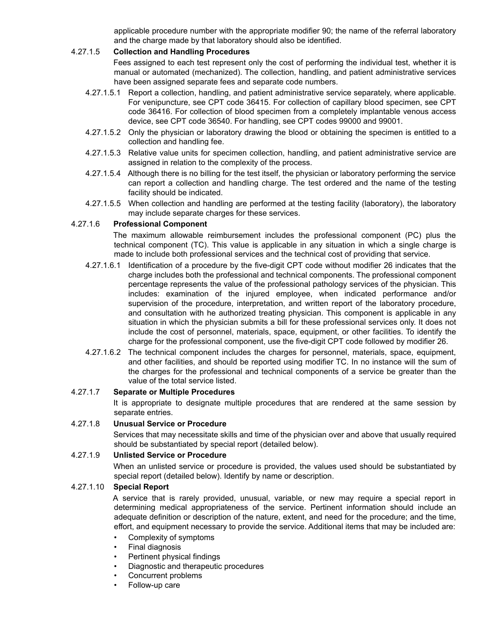applicable procedure number with the appropriate modifier 90; the name of the referral laboratory and the charge made by that laboratory should also be identified.

#### 4.27.1.5 **Collection and Handling Procedures**

Fees assigned to each test represent only the cost of performing the individual test, whether it is manual or automated (mechanized). The collection, handling, and patient administrative services have been assigned separate fees and separate code numbers.

- 4.27.1.5.1 Report a collection, handling, and patient administrative service separately, where applicable. For venipuncture, see CPT code 36415. For collection of capillary blood specimen, see CPT code 36416. For collection of blood specimen from a completely implantable venous access device, see CPT code 36540. For handling, see CPT codes 99000 and 99001.
- 4.27.1.5.2 Only the physician or laboratory drawing the blood or obtaining the specimen is entitled to a collection and handling fee.
- 4.27.1.5.3 Relative value units for specimen collection, handling, and patient administrative service are assigned in relation to the complexity of the process.
- 4.27.1.5.4 Although there is no billing for the test itself, the physician or laboratory performing the service can report a collection and handling charge. The test ordered and the name of the testing facility should be indicated.
- 4.27.1.5.5 When collection and handling are performed at the testing facility (laboratory), the laboratory may include separate charges for these services.

#### 4.27.1.6 **Professional Component**

The maximum allowable reimbursement includes the professional component (PC) plus the technical component (TC). This value is applicable in any situation in which a single charge is made to include both professional services and the technical cost of providing that service.

- 4.27.1.6.1 Identification of a procedure by the five-digit CPT code without modifier 26 indicates that the charge includes both the professional and technical components. The professional component percentage represents the value of the professional pathology services of the physician. This includes: examination of the injured employee, when indicated performance and/or supervision of the procedure, interpretation, and written report of the laboratory procedure, and consultation with he authorized treating physician. This component is applicable in any situation in which the physician submits a bill for these professional services only. It does not include the cost of personnel, materials, space, equipment, or other facilities. To identify the charge for the professional component, use the five-digit CPT code followed by modifier 26.
- 4.27.1.6.2 The technical component includes the charges for personnel, materials, space, equipment, and other facilities, and should be reported using modifier TC. In no instance will the sum of the charges for the professional and technical components of a service be greater than the value of the total service listed.

### 4.27.1.7 **Separate or Multiple Procedures**

It is appropriate to designate multiple procedures that are rendered at the same session by separate entries.

#### 4.27.1.8 **Unusual Service or Procedure**

Services that may necessitate skills and time of the physician over and above that usually required should be substantiated by special report (detailed below).

#### 4.27.1.9 **Unlisted Service or Procedure**

When an unlisted service or procedure is provided, the values used should be substantiated by special report (detailed below). Identify by name or description.

#### 4.27.1.10 **Special Report**

A service that is rarely provided, unusual, variable, or new may require a special report in determining medical appropriateness of the service. Pertinent information should include an adequate definition or description of the nature, extent, and need for the procedure; and the time, effort, and equipment necessary to provide the service. Additional items that may be included are:

- Complexity of symptoms
- Final diagnosis
- Pertinent physical findings
- Diagnostic and therapeutic procedures
- Concurrent problems
- Follow-up care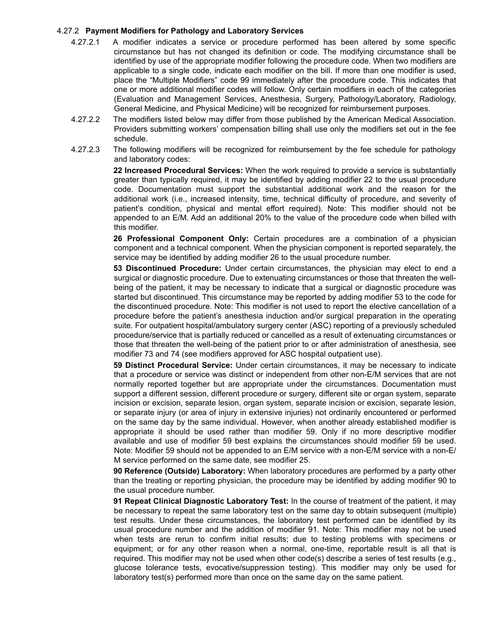#### 4.27.2 **Payment Modifiers for Pathology and Laboratory Services**

- 4.27.2.1 A modifier indicates a service or procedure performed has been altered by some specific circumstance but has not changed its definition or code. The modifying circumstance shall be identified by use of the appropriate modifier following the procedure code. When two modifiers are applicable to a single code, indicate each modifier on the bill. If more than one modifier is used, place the "Multiple Modifiers" code 99 immediately after the procedure code. This indicates that one or more additional modifier codes will follow. Only certain modifiers in each of the categories (Evaluation and Management Services, Anesthesia, Surgery, Pathology/Laboratory, Radiology, General Medicine, and Physical Medicine) will be recognized for reimbursement purposes.
- 4.27.2.2 The modifiers listed below may differ from those published by the American Medical Association. Providers submitting workers' compensation billing shall use only the modifiers set out in the fee schedule.
- 4.27.2.3 The following modifiers will be recognized for reimbursement by the fee schedule for pathology and laboratory codes:

**22 Increased Procedural Services:** When the work required to provide a service is substantially greater than typically required, it may be identified by adding modifier 22 to the usual procedure code. Documentation must support the substantial additional work and the reason for the additional work (i.e., increased intensity, time, technical difficulty of procedure, and severity of patient's condition, physical and mental effort required). Note: This modifier should not be appended to an E/M. Add an additional 20% to the value of the procedure code when billed with this modifier.

**26 Professional Component Only:** Certain procedures are a combination of a physician component and a technical component. When the physician component is reported separately, the service may be identified by adding modifier 26 to the usual procedure number.

**53 Discontinued Procedure:** Under certain circumstances, the physician may elect to end a surgical or diagnostic procedure. Due to extenuating circumstances or those that threaten the wellbeing of the patient, it may be necessary to indicate that a surgical or diagnostic procedure was started but discontinued. This circumstance may be reported by adding modifier 53 to the code for the discontinued procedure. Note: This modifier is not used to report the elective cancellation of a procedure before the patient's anesthesia induction and/or surgical preparation in the operating suite. For outpatient hospital/ambulatory surgery center (ASC) reporting of a previously scheduled procedure/service that is partially reduced or cancelled as a result of extenuating circumstances or those that threaten the well-being of the patient prior to or after administration of anesthesia, see modifier 73 and 74 (see modifiers approved for ASC hospital outpatient use).

**59 Distinct Procedural Service:** Under certain circumstances, it may be necessary to indicate that a procedure or service was distinct or independent from other non-E/M services that are not normally reported together but are appropriate under the circumstances. Documentation must support a different session, different procedure or surgery, different site or organ system, separate incision or excision, separate lesion, organ system, separate incision or excision, separate lesion, or separate injury (or area of injury in extensive injuries) not ordinarily encountered or performed on the same day by the same individual. However, when another already established modifier is appropriate it should be used rather than modifier 59. Only if no more descriptive modifier available and use of modifier 59 best explains the circumstances should modifier 59 be used. Note: Modifier 59 should not be appended to an E/M service with a non-E/M service with a non-E/ M service performed on the same date, see modifier 25.

**90 Reference (Outside) Laboratory:** When laboratory procedures are performed by a party other than the treating or reporting physician, the procedure may be identified by adding modifier 90 to the usual procedure number.

**91 Repeat Clinical Diagnostic Laboratory Test:** In the course of treatment of the patient, it may be necessary to repeat the same laboratory test on the same day to obtain subsequent (multiple) test results. Under these circumstances, the laboratory test performed can be identified by its usual procedure number and the addition of modifier 91. Note: This modifier may not be used when tests are rerun to confirm initial results; due to testing problems with specimens or equipment; or for any other reason when a normal, one-time, reportable result is all that is required. This modifier may not be used when other code(s) describe a series of test results (e.g., glucose tolerance tests, evocative/suppression testing). This modifier may only be used for laboratory test(s) performed more than once on the same day on the same patient.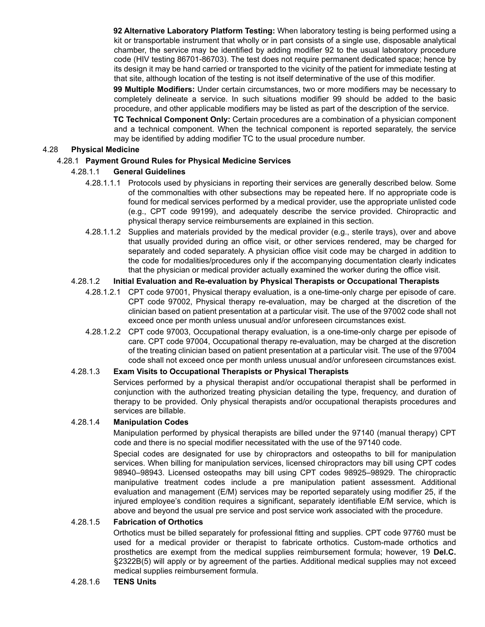**92 Alternative Laboratory Platform Testing:** When laboratory testing is being performed using a kit or transportable instrument that wholly or in part consists of a single use, disposable analytical chamber, the service may be identified by adding modifier 92 to the usual laboratory procedure code (HIV testing 86701-86703). The test does not require permanent dedicated space; hence by its design it may be hand carried or transported to the vicinity of the patient for immediate testing at that site, although location of the testing is not itself determinative of the use of this modifier.

**99 Multiple Modifiers:** Under certain circumstances, two or more modifiers may be necessary to completely delineate a service. In such situations modifier 99 should be added to the basic procedure, and other applicable modifiers may be listed as part of the description of the service.

**TC Technical Component Only:** Certain procedures are a combination of a physician component and a technical component. When the technical component is reported separately, the service may be identified by adding modifier TC to the usual procedure number.

### 4.28 **Physical Medicine**

### 4.28.1 **Payment Ground Rules for Physical Medicine Services**

### 4.28.1.1 **General Guidelines**

- 4.28.1.1.1 Protocols used by physicians in reporting their services are generally described below. Some of the commonalties with other subsections may be repeated here. If no appropriate code is found for medical services performed by a medical provider, use the appropriate unlisted code (e.g., CPT code 99199), and adequately describe the service provided. Chiropractic and physical therapy service reimbursements are explained in this section.
- 4.28.1.1.2 Supplies and materials provided by the medical provider (e.g., sterile trays), over and above that usually provided during an office visit, or other services rendered, may be charged for separately and coded separately. A physician office visit code may be charged in addition to the code for modalities/procedures only if the accompanying documentation clearly indicates that the physician or medical provider actually examined the worker during the office visit.

### 4.28.1.2 **Initial Evaluation and Re-evaluation by Physical Therapists or Occupational Therapists**

- 4.28.1.2.1 CPT code 97001, Physical therapy evaluation, is a one-time-only charge per episode of care. CPT code 97002, Physical therapy re-evaluation, may be charged at the discretion of the clinician based on patient presentation at a particular visit. The use of the 97002 code shall not exceed once per month unless unusual and/or unforeseen circumstances exist.
- 4.28.1.2.2 CPT code 97003, Occupational therapy evaluation, is a one-time-only charge per episode of care. CPT code 97004, Occupational therapy re-evaluation, may be charged at the discretion of the treating clinician based on patient presentation at a particular visit. The use of the 97004 code shall not exceed once per month unless unusual and/or unforeseen circumstances exist.

#### 4.28.1.3 **Exam Visits to Occupational Therapists or Physical Therapists**

Services performed by a physical therapist and/or occupational therapist shall be performed in conjunction with the authorized treating physician detailing the type, frequency, and duration of therapy to be provided. Only physical therapists and/or occupational therapists procedures and services are billable.

#### 4.28.1.4 **Manipulation Codes**

Manipulation performed by physical therapists are billed under the 97140 (manual therapy) CPT code and there is no special modifier necessitated with the use of the 97140 code.

Special codes are designated for use by chiropractors and osteopaths to bill for manipulation services. When billing for manipulation services, licensed chiropractors may bill using CPT codes 98940–98943. Licensed osteopaths may bill using CPT codes 98925–98929. The chiropractic manipulative treatment codes include a pre manipulation patient assessment. Additional evaluation and management (E/M) services may be reported separately using modifier 25, if the injured employee's condition requires a significant, separately identifiable E/M service, which is above and beyond the usual pre service and post service work associated with the procedure.

#### 4.28.1.5 **Fabrication of Orthotics**

Orthotics must be billed separately for professional fitting and supplies. CPT code 97760 must be used for a medical provider or therapist to fabricate orthotics. Custom-made orthotics and prosthetics are exempt from the medical supplies reimbursement formula; however, 19 **Del.C.** §2322B(5) will apply or by agreement of the parties. Additional medical supplies may not exceed medical supplies reimbursement formula.

#### 4.28.1.6 **TENS Units**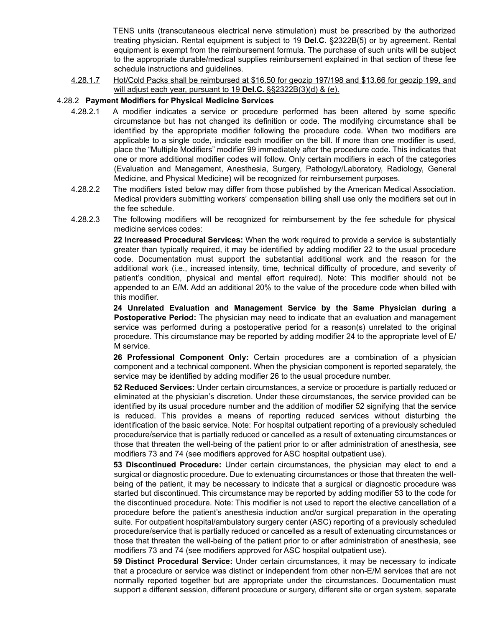TENS units (transcutaneous electrical nerve stimulation) must be prescribed by the authorized treating physician. Rental equipment is subject to 19 **Del.C.** §2322B(5) or by agreement. Rental equipment is exempt from the reimbursement formula. The purchase of such units will be subject to the appropriate durable/medical supplies reimbursement explained in that section of these fee schedule instructions and guidelines.

4.28.1.7 Hot/Cold Packs shall be reimbursed at \$16.50 for geozip 197/198 and \$13.66 for geozip 199, and will adjust each year, pursuant to 19 **Del.C.** §§2322B(3)(d) & (e).

#### 4.28.2 **Payment Modifiers for Physical Medicine Services**

- 4.28.2.1 A modifier indicates a service or procedure performed has been altered by some specific circumstance but has not changed its definition or code. The modifying circumstance shall be identified by the appropriate modifier following the procedure code. When two modifiers are applicable to a single code, indicate each modifier on the bill. If more than one modifier is used, place the "Multiple Modifiers" modifier 99 immediately after the procedure code. This indicates that one or more additional modifier codes will follow. Only certain modifiers in each of the categories (Evaluation and Management, Anesthesia, Surgery, Pathology/Laboratory, Radiology, General Medicine, and Physical Medicine) will be recognized for reimbursement purposes.
- 4.28.2.2 The modifiers listed below may differ from those published by the American Medical Association. Medical providers submitting workers' compensation billing shall use only the modifiers set out in the fee schedule.
- 4.28.2.3 The following modifiers will be recognized for reimbursement by the fee schedule for physical medicine services codes:

**22 Increased Procedural Services:** When the work required to provide a service is substantially greater than typically required, it may be identified by adding modifier 22 to the usual procedure code. Documentation must support the substantial additional work and the reason for the additional work (i.e., increased intensity, time, technical difficulty of procedure, and severity of patient's condition, physical and mental effort required). Note: This modifier should not be appended to an E/M. Add an additional 20% to the value of the procedure code when billed with this modifier.

**24 Unrelated Evaluation and Management Service by the Same Physician during a Postoperative Period:** The physician may need to indicate that an evaluation and management service was performed during a postoperative period for a reason(s) unrelated to the original procedure. This circumstance may be reported by adding modifier 24 to the appropriate level of E/ M service.

**26 Professional Component Only:** Certain procedures are a combination of a physician component and a technical component. When the physician component is reported separately, the service may be identified by adding modifier 26 to the usual procedure number.

**52 Reduced Services:** Under certain circumstances, a service or procedure is partially reduced or eliminated at the physician's discretion. Under these circumstances, the service provided can be identified by its usual procedure number and the addition of modifier 52 signifying that the service is reduced. This provides a means of reporting reduced services without disturbing the identification of the basic service. Note: For hospital outpatient reporting of a previously scheduled procedure/service that is partially reduced or cancelled as a result of extenuating circumstances or those that threaten the well-being of the patient prior to or after administration of anesthesia, see modifiers 73 and 74 (see modifiers approved for ASC hospital outpatient use).

**53 Discontinued Procedure:** Under certain circumstances, the physician may elect to end a surgical or diagnostic procedure. Due to extenuating circumstances or those that threaten the wellbeing of the patient, it may be necessary to indicate that a surgical or diagnostic procedure was started but discontinued. This circumstance may be reported by adding modifier 53 to the code for the discontinued procedure. Note: This modifier is not used to report the elective cancellation of a procedure before the patient's anesthesia induction and/or surgical preparation in the operating suite. For outpatient hospital/ambulatory surgery center (ASC) reporting of a previously scheduled procedure/service that is partially reduced or cancelled as a result of extenuating circumstances or those that threaten the well-being of the patient prior to or after administration of anesthesia, see modifiers 73 and 74 (see modifiers approved for ASC hospital outpatient use).

**59 Distinct Procedural Service:** Under certain circumstances, it may be necessary to indicate that a procedure or service was distinct or independent from other non-E/M services that are not normally reported together but are appropriate under the circumstances. Documentation must support a different session, different procedure or surgery, different site or organ system, separate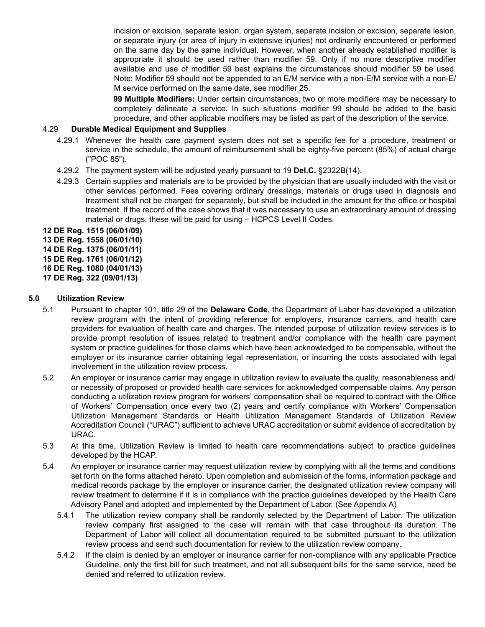incision or excision, separate lesion, organ system, separate incision or excision, separate lesion, or separate injury (or area of injury in extensive injuries) not ordinarily encountered or performed on the same day by the same individual. However, when another already established modifier is appropriate it should be used rather than modifier 59. Only if no more descriptive modifier available and use of modifier 59 best explains the circumstances should modifier 59 be used. Note: Modifier 59 should not be appended to an E/M service with a non-E/M service with a non-E/ M service performed on the same date, see modifier 25.

**99 Multiple Modifiers:** Under certain circumstances, two or more modifiers may be necessary to completely delineate a service. In such situations modifier 99 should be added to the basic procedure, and other applicable modifiers may be listed as part of the description of the service.

### 4.29 **Durable Medical Equipment and Supplies**

- 4.29.1 Whenever the health care payment system does not set a specific fee for a procedure, treatment or service in the schedule, the amount of reimbursement shall be eighty-five percent (85%) of actual charge ("POC 85").
- 4.29.2 The payment system will be adjusted yearly pursuant to 19 **Del.C.** §2322B(14).
- 4.29.3 Certain supplies and materials are to be provided by the physician that are usually included with the visit or other services performed. Fees covering ordinary dressings, materials or drugs used in diagnosis and treatment shall not be charged for separately, but shall be included in the amount for the office or hospital treatment. If the record of the case shows that it was necessary to use an extraordinary amount of dressing material or drugs, these will be paid for using – HCPCS Level II Codes.

**12 DE Reg. 1515 (06/01/09)**

**13 DE Reg. 1558 (06/01/10)**

**14 DE Reg. 1375 (06/01/11)**

**15 DE Reg. 1761 (06/01/12)**

**16 DE Reg. 1080 (04/01/13)**

**17 DE Reg. 322 (09/01/13)**

### **5.0 Utilization Review**

- 5.1 Pursuant to chapter 101, title 29 of the **Delaware Code**, the Department of Labor has developed a utilization review program with the intent of providing reference for employers, insurance carriers, and health care providers for evaluation of health care and charges. The intended purpose of utilization review services is to provide prompt resolution of issues related to treatment and/or compliance with the health care payment system or practice guidelines for those claims which have been acknowledged to be compensable, without the employer or its insurance carrier obtaining legal representation, or incurring the costs associated with legal involvement in the utilization review process.
- 5.2 An employer or insurance carrier may engage in utilization review to evaluate the quality, reasonableness and/ or necessity of proposed or provided health care services for acknowledged compensable claims. Any person conducting a utilization review program for workers' compensation shall be required to contract with the Office of Workers' Compensation once every two (2) years and certify compliance with Workers' Compensation Utilization Management Standards or Health Utilization Management Standards of Utilization Review Accreditation Council ("URAC") sufficient to achieve URAC accreditation or submit evidence of accreditation by URAC.
- 5.3 At this time, Utilization Review is limited to health care recommendations subject to practice guidelines developed by the HCAP.
- 5.4 An employer or insurance carrier may request utilization review by complying with all the terms and conditions set forth on the forms attached hereto. Upon completion and submission of the forms, information package and medical records package by the employer or insurance carrier, the designated utilization review company will review treatment to determine if it is in compliance with the practice guidelines developed by the Health Care Advisory Panel and adopted and implemented by the Department of Labor. (See Appendix A)
	- 5.4.1 The utilization review company shall be randomly selected by the Department of Labor. The utilization review company first assigned to the case will remain with that case throughout its duration. The Department of Labor will collect all documentation required to be submitted pursuant to the utilization review process and send such documentation for review to the utilization review company.
	- 5.4.2 If the claim is denied by an employer or insurance carrier for non-compliance with any applicable Practice Guideline, only the first bill for such treatment, and not all subsequent bills for the same service, need be denied and referred to utilization review.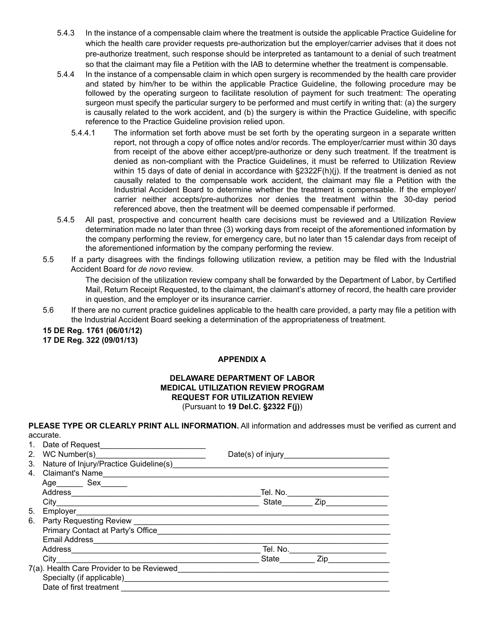- 5.4.3 In the instance of a compensable claim where the treatment is outside the applicable Practice Guideline for which the health care provider requests pre-authorization but the employer/carrier advises that it does not pre-authorize treatment, such response should be interpreted as tantamount to a denial of such treatment so that the claimant may file a Petition with the IAB to determine whether the treatment is compensable.
- 5.4.4 In the instance of a compensable claim in which open surgery is recommended by the health care provider and stated by him/her to be within the applicable Practice Guideline, the following procedure may be followed by the operating surgeon to facilitate resolution of payment for such treatment: The operating surgeon must specify the particular surgery to be performed and must certify in writing that: (a) the surgery is causally related to the work accident, and (b) the surgery is within the Practice Guideline, with specific reference to the Practice Guideline provision relied upon.
	- 5.4.4.1 The information set forth above must be set forth by the operating surgeon in a separate written report, not through a copy of office notes and/or records. The employer/carrier must within 30 days from receipt of the above either accept/pre-authorize or deny such treatment. If the treatment is denied as non-compliant with the Practice Guidelines, it must be referred to Utilization Review within 15 days of date of denial in accordance with §2322F(h)(j). If the treatment is denied as not causally related to the compensable work accident, the claimant may file a Petition with the Industrial Accident Board to determine whether the treatment is compensable. If the employer/ carrier neither accepts/pre-authorizes nor denies the treatment within the 30-day period referenced above, then the treatment will be deemed compensable if performed.
- 5.4.5 All past, prospective and concurrent health care decisions must be reviewed and a Utilization Review determination made no later than three (3) working days from receipt of the aforementioned information by the company performing the review, for emergency care, but no later than 15 calendar days from receipt of the aforementioned information by the company performing the review.
- 5.5 If a party disagrees with the findings following utilization review, a petition may be filed with the Industrial Accident Board for *de novo* review.

The decision of the utilization review company shall be forwarded by the Department of Labor, by Certified Mail, Return Receipt Requested, to the claimant, the claimant's attorney of record, the health care provider in question, and the employer or its insurance carrier.

5.6 If there are no current practice guidelines applicable to the health care provided, a party may file a petition with the Industrial Accident Board seeking a determination of the appropriateness of treatment.

**15 DE Reg. 1761 (06/01/12) 17 DE Reg. 322 (09/01/13)**

### **APPENDIX A**

### **DELAWARE DEPARTMENT OF LABOR MEDICAL UTILIZATION REVIEW PROGRAM REQUEST FOR UTILIZATION REVIEW** (Pursuant to **19 Del.C. §2322 F(j)**)

| PLEASE TYPE OR CLEARLY PRINT ALL INFORMATION. All information and addresses must be verified as current and |
|-------------------------------------------------------------------------------------------------------------|
| accurate.                                                                                                   |
| 1 Dota of Doguest                                                                                           |

| 3. | Nature of Injury/Practice Guideline(s) Mature and Contact Contact Contact Contact Contact Contact Contact Conta |                                     |  |
|----|-----------------------------------------------------------------------------------------------------------------|-------------------------------------|--|
|    | 4. Claimant's Name                                                                                              |                                     |  |
|    | Age__________ Sex________                                                                                       |                                     |  |
|    |                                                                                                                 | Tel. No.                            |  |
|    |                                                                                                                 | State _________ Zip________________ |  |
| 5. |                                                                                                                 |                                     |  |
| 6. |                                                                                                                 |                                     |  |
|    |                                                                                                                 |                                     |  |
|    |                                                                                                                 |                                     |  |
|    |                                                                                                                 |                                     |  |
|    |                                                                                                                 | State Zip                           |  |
|    | 7(a). Health Care Provider to be Reviewed                                                                       |                                     |  |
|    |                                                                                                                 |                                     |  |
|    |                                                                                                                 |                                     |  |
|    |                                                                                                                 |                                     |  |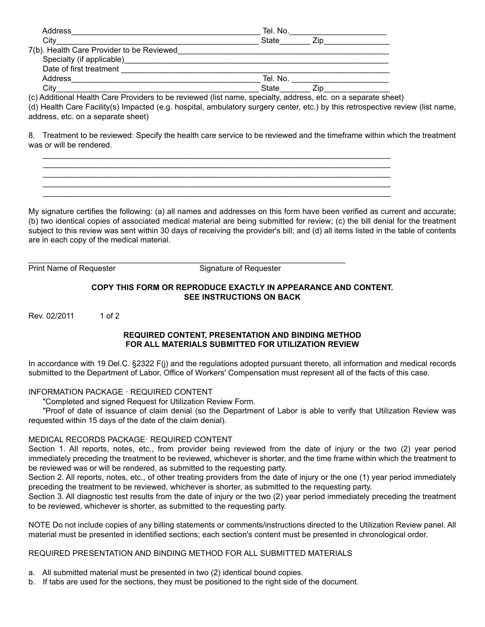| Address                                   | Tel. No.     |  |
|-------------------------------------------|--------------|--|
| Citv                                      | <b>State</b> |  |
| 7(b). Health Care Provider to be Reviewed |              |  |
|                                           |              |  |
| Date of first treatment                   |              |  |
| Address                                   | Tel. No.     |  |
| City                                      | <b>State</b> |  |

(c) Additional Health Care Providers to be reviewed (list name, specialty, address, etc. on a separate sheet)

(d) Health Care Facility(s) Impacted (e.g. hospital, ambulatory surgery center, etc.) by this retrospective review (list name, address, etc. on a separate sheet)

8. Treatment to be reviewed: Specify the health care service to be reviewed and the timeframe within which the treatment was or will be rendered.

 $\mathcal{L}_\text{max}$  , and the set of the set of the set of the set of the set of the set of the set of the set of the set of the set of the set of the set of the set of the set of the set of the set of the set of the set of the

My signature certifies the following: (a) all names and addresses on this form have been verified as current and accurate; (b) two identical copies of associated medical material are being submitted for review; (c) the bill denial for the treatment subject to this review was sent within 30 days of receiving the provider's bill; and (d) all items listed in the table of contents are in each copy of the medical material.

Print Name of Requester Signature of Requester

### **COPY THIS FORM OR REPRODUCE EXACTLY IN APPEARANCE AND CONTENT. SEE INSTRUCTIONS ON BACK**

Rev. 02/2011 1 of 2

### **REQUIRED CONTENT, PRESENTATION AND BINDING METHOD FOR ALL MATERIALS SUBMITTED FOR UTILIZATION REVIEW**

In accordance with 19 Del.C. §2322 F(j) and the regulations adopted pursuant thereto, all information and medical records submitted to the Department of Labor, Office of Workers' Compensation must represent all of the facts of this case.

# INFORMATION PACKAGE · REQUIRED CONTENT

"Completed and signed Request for Utilization Review Form.

"Proof of date of issuance of claim denial (so the Department of Labor is able to verify that Utilization Review was requested within 15 days of the date of the claim denial).

### MEDICAL RECORDS PACKAGE· REQUIRED CONTENT

Section 1. All reports, notes, etc., from provider being reviewed from the date of injury or the two (2) year period immediately preceding the treatment to be reviewed, whichever is shorter, and the time frame within which the treatment to be reviewed was or will be rendered, as submitted to the requesting party.

Section 2. All reports, notes, etc., of other treating providers from the date of injury or the one (1) year period immediately preceding the treatment to be reviewed, whichever is shorter, as submitted to the requesting party.

Section 3. All diagnostic test results from the date of injury or the two (2) year period immediately preceding the treatment to be reviewed, whichever is shorter, as submitted to the requesting party.

NOTE Do not include copies of any billing statements or comments/instructions directed to the Utilization Review panel. All material must be presented in identified sections; each section's content must be presented in chronological order.

### REQUIRED PRESENTATION AND BINDING METHOD FOR ALL SUBMITTED MATERIALS

- a. All submitted material must be presented in two (2) identical bound copies.
- b. If tabs are used for the sections, they must be positioned to the right side of the document.